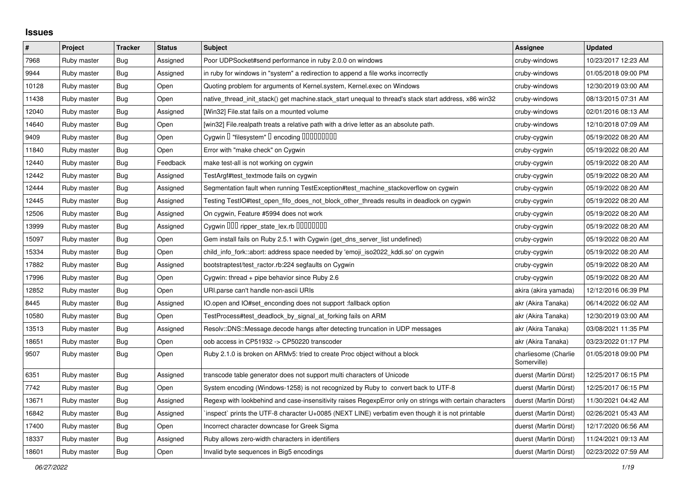## **Issues**

| $\vert$ # | Project     | <b>Tracker</b> | <b>Status</b> | <b>Subject</b>                                                                                           | Assignee                            | <b>Updated</b>      |
|-----------|-------------|----------------|---------------|----------------------------------------------------------------------------------------------------------|-------------------------------------|---------------------|
| 7968      | Ruby master | <b>Bug</b>     | Assigned      | Poor UDPSocket#send performance in ruby 2.0.0 on windows                                                 | cruby-windows                       | 10/23/2017 12:23 AM |
| 9944      | Ruby master | <b>Bug</b>     | Assigned      | in ruby for windows in "system" a redirection to append a file works incorrectly                         | cruby-windows                       | 01/05/2018 09:00 PM |
| 10128     | Ruby master | Bug            | Open          | Quoting problem for arguments of Kernel.system, Kernel.exec on Windows                                   | cruby-windows                       | 12/30/2019 03:00 AM |
| 11438     | Ruby master | Bug            | Open          | native_thread_init_stack() get machine.stack_start unequal to thread's stack start address, x86 win32    | cruby-windows                       | 08/13/2015 07:31 AM |
| 12040     | Ruby master | Bug            | Assigned      | [Win32] File.stat fails on a mounted volume                                                              | cruby-windows                       | 02/01/2016 08:13 AM |
| 14640     | Ruby master | <b>Bug</b>     | Open          | [win32] File.realpath treats a relative path with a drive letter as an absolute path.                    | cruby-windows                       | 12/10/2018 07:09 AM |
| 9409      | Ruby master | Bug            | Open          | Cygwin I "filesystem" I encoding IIIIIIIIIIIII                                                           | cruby-cygwin                        | 05/19/2022 08:20 AM |
| 11840     | Ruby master | Bug            | Open          | Error with "make check" on Cygwin                                                                        | cruby-cygwin                        | 05/19/2022 08:20 AM |
| 12440     | Ruby master | Bug            | Feedback      | make test-all is not working on cygwin                                                                   | cruby-cygwin                        | 05/19/2022 08:20 AM |
| 12442     | Ruby master | <b>Bug</b>     | Assigned      | TestArgf#test_textmode fails on cygwin                                                                   | cruby-cygwin                        | 05/19/2022 08:20 AM |
| 12444     | Ruby master | Bug            | Assigned      | Segmentation fault when running TestException#test_machine_stackoverflow on cygwin                       | cruby-cygwin                        | 05/19/2022 08:20 AM |
| 12445     | Ruby master | <b>Bug</b>     | Assigned      | Testing TestIO#test_open_fifo_does_not_block_other_threads results in deadlock on cygwin                 | cruby-cygwin                        | 05/19/2022 08:20 AM |
| 12506     | Ruby master | <b>Bug</b>     | Assigned      | On cygwin, Feature #5994 does not work                                                                   | cruby-cygwin                        | 05/19/2022 08:20 AM |
| 13999     | Ruby master | <b>Bug</b>     | Assigned      | Cygwin DDD ripper_state_lex.rb DDDDDDDD                                                                  | cruby-cygwin                        | 05/19/2022 08:20 AM |
| 15097     | Ruby master | <b>Bug</b>     | Open          | Gem install fails on Ruby 2.5.1 with Cygwin (get_dns_server_list undefined)                              | cruby-cygwin                        | 05/19/2022 08:20 AM |
| 15334     | Ruby master | Bug            | Open          | child_info_fork::abort: address space needed by 'emoji_iso2022_kddi.so' on cygwin                        | cruby-cygwin                        | 05/19/2022 08:20 AM |
| 17882     | Ruby master | Bug            | Assigned      | bootstraptest/test_ractor.rb:224 segfaults on Cygwin                                                     | cruby-cygwin                        | 05/19/2022 08:20 AM |
| 17996     | Ruby master | Bug            | Open          | Cygwin: thread $+$ pipe behavior since Ruby 2.6                                                          | cruby-cygwin                        | 05/19/2022 08:20 AM |
| 12852     | Ruby master | Bug            | Open          | URI.parse can't handle non-ascii URIs                                                                    | akira (akira yamada)                | 12/12/2016 06:39 PM |
| 8445      | Ruby master | Bug            | Assigned      | IO.open and IO#set_enconding does not support :fallback option                                           | akr (Akira Tanaka)                  | 06/14/2022 06:02 AM |
| 10580     | Ruby master | Bug            | Open          | TestProcess#test_deadlock_by_signal_at_forking fails on ARM                                              | akr (Akira Tanaka)                  | 12/30/2019 03:00 AM |
| 13513     | Ruby master | Bug            | Assigned      | Resolv::DNS::Message.decode hangs after detecting truncation in UDP messages                             | akr (Akira Tanaka)                  | 03/08/2021 11:35 PM |
| 18651     | Ruby master | Bug            | Open          | oob access in CP51932 -> CP50220 transcoder                                                              | akr (Akira Tanaka)                  | 03/23/2022 01:17 PM |
| 9507      | Ruby master | <b>Bug</b>     | Open          | Ruby 2.1.0 is broken on ARMv5: tried to create Proc object without a block                               | charliesome (Charlie<br>Somerville) | 01/05/2018 09:00 PM |
| 6351      | Ruby master | Bug            | Assigned      | transcode table generator does not support multi characters of Unicode                                   | duerst (Martin Dürst)               | 12/25/2017 06:15 PM |
| 7742      | Ruby master | Bug            | Open          | System encoding (Windows-1258) is not recognized by Ruby to convert back to UTF-8                        | duerst (Martin Dürst)               | 12/25/2017 06:15 PM |
| 13671     | Ruby master | <b>Bug</b>     | Assigned      | Regexp with lookbehind and case-insensitivity raises RegexpError only on strings with certain characters | duerst (Martin Dürst)               | 11/30/2021 04:42 AM |
| 16842     | Ruby master | <b>Bug</b>     | Assigned      | inspect` prints the UTF-8 character U+0085 (NEXT LINE) verbatim even though it is not printable          | duerst (Martin Dürst)               | 02/26/2021 05:43 AM |
| 17400     | Ruby master | Bug            | Open          | Incorrect character downcase for Greek Sigma                                                             | duerst (Martin Dürst)               | 12/17/2020 06:56 AM |
| 18337     | Ruby master | Bug            | Assigned      | Ruby allows zero-width characters in identifiers                                                         | duerst (Martin Dürst)               | 11/24/2021 09:13 AM |
| 18601     | Ruby master | Bug            | Open          | Invalid byte sequences in Big5 encodings                                                                 | duerst (Martin Dürst)               | 02/23/2022 07:59 AM |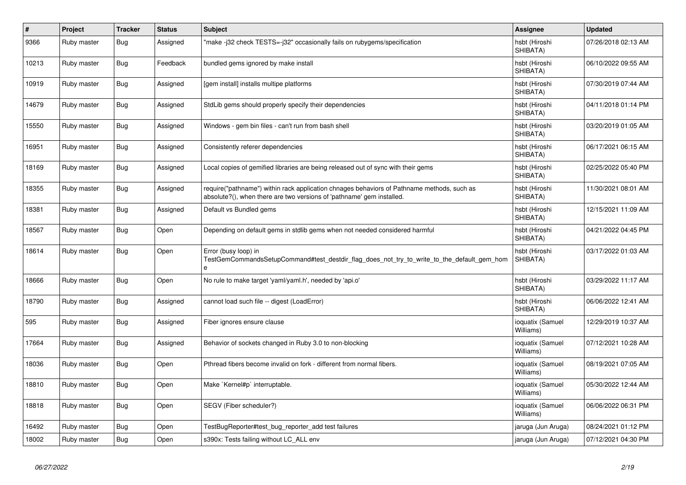| #     | Project     | <b>Tracker</b> | <b>Status</b> | <b>Subject</b>                                                                                                                                                      | Assignee                      | <b>Updated</b>      |
|-------|-------------|----------------|---------------|---------------------------------------------------------------------------------------------------------------------------------------------------------------------|-------------------------------|---------------------|
| 9366  | Ruby master | Bug            | Assigned      | 'make -j32 check TESTS=-j32" occasionally fails on rubygems/specification                                                                                           | hsbt (Hiroshi<br>SHIBATA)     | 07/26/2018 02:13 AM |
| 10213 | Ruby master | Bug            | Feedback      | bundled gems ignored by make install                                                                                                                                | hsbt (Hiroshi<br>SHIBATA)     | 06/10/2022 09:55 AM |
| 10919 | Ruby master | Bug            | Assigned      | [gem install] installs multipe platforms                                                                                                                            | hsbt (Hiroshi<br>SHIBATA)     | 07/30/2019 07:44 AM |
| 14679 | Ruby master | Bug            | Assigned      | StdLib gems should properly specify their dependencies                                                                                                              | hsbt (Hiroshi<br>SHIBATA)     | 04/11/2018 01:14 PM |
| 15550 | Ruby master | <b>Bug</b>     | Assigned      | Windows - gem bin files - can't run from bash shell                                                                                                                 | hsbt (Hiroshi<br>SHIBATA)     | 03/20/2019 01:05 AM |
| 16951 | Ruby master | <b>Bug</b>     | Assigned      | Consistently referer dependencies                                                                                                                                   | hsbt (Hiroshi<br>SHIBATA)     | 06/17/2021 06:15 AM |
| 18169 | Ruby master | <b>Bug</b>     | Assigned      | Local copies of gemified libraries are being released out of sync with their gems                                                                                   | hsbt (Hiroshi<br>SHIBATA)     | 02/25/2022 05:40 PM |
| 18355 | Ruby master | <b>Bug</b>     | Assigned      | require("pathname") within rack application chnages behaviors of Pathname methods, such as<br>absolute?(), when there are two versions of 'pathname' gem installed. | hsbt (Hiroshi<br>SHIBATA)     | 11/30/2021 08:01 AM |
| 18381 | Ruby master | <b>Bug</b>     | Assigned      | Default vs Bundled gems                                                                                                                                             | hsbt (Hiroshi<br>SHIBATA)     | 12/15/2021 11:09 AM |
| 18567 | Ruby master | <b>Bug</b>     | Open          | Depending on default gems in stdlib gems when not needed considered harmful                                                                                         | hsbt (Hiroshi<br>SHIBATA)     | 04/21/2022 04:45 PM |
| 18614 | Ruby master | <b>Bug</b>     | Open          | Error (busy loop) in<br>TestGemCommandsSetupCommand#test_destdir_flag_does_not_try_to_write_to_the_default_gem_hom<br>$\theta$                                      | hsbt (Hiroshi<br>SHIBATA)     | 03/17/2022 01:03 AM |
| 18666 | Ruby master | <b>Bug</b>     | Open          | No rule to make target 'yaml/yaml.h', needed by 'api.o'                                                                                                             | hsbt (Hiroshi<br>SHIBATA)     | 03/29/2022 11:17 AM |
| 18790 | Ruby master | Bug            | Assigned      | cannot load such file -- digest (LoadError)                                                                                                                         | hsbt (Hiroshi<br>SHIBATA)     | 06/06/2022 12:41 AM |
| 595   | Ruby master | <b>Bug</b>     | Assigned      | Fiber ignores ensure clause                                                                                                                                         | ioquatix (Samuel<br>Williams) | 12/29/2019 10:37 AM |
| 17664 | Ruby master | Bug            | Assigned      | Behavior of sockets changed in Ruby 3.0 to non-blocking                                                                                                             | ioquatix (Samuel<br>Williams) | 07/12/2021 10:28 AM |
| 18036 | Ruby master | Bug            | Open          | Pthread fibers become invalid on fork - different from normal fibers.                                                                                               | ioquatix (Samuel<br>Williams) | 08/19/2021 07:05 AM |
| 18810 | Ruby master | Bug            | Open          | Make `Kernel#p` interruptable.                                                                                                                                      | ioquatix (Samuel<br>Williams) | 05/30/2022 12:44 AM |
| 18818 | Ruby master | Bug            | Open          | SEGV (Fiber scheduler?)                                                                                                                                             | ioquatix (Samuel<br>Williams) | 06/06/2022 06:31 PM |
| 16492 | Ruby master | Bug            | Open          | TestBugReporter#test bug reporter add test failures                                                                                                                 | jaruga (Jun Aruga)            | 08/24/2021 01:12 PM |
| 18002 | Ruby master | <b>Bug</b>     | Open          | s390x: Tests failing without LC ALL env                                                                                                                             | jaruga (Jun Aruga)            | 07/12/2021 04:30 PM |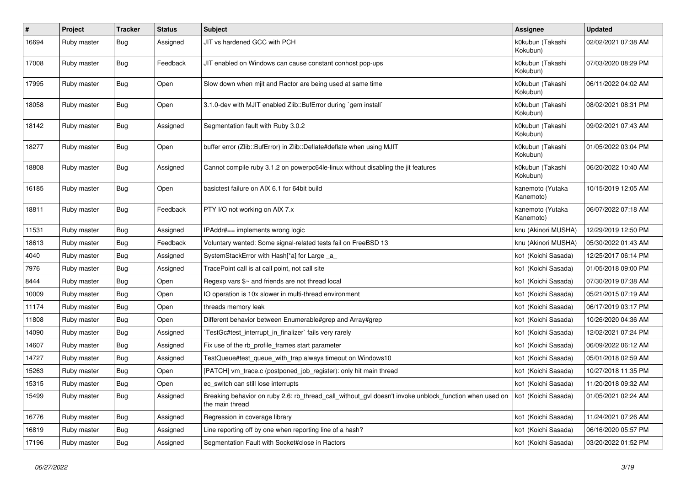| $\vert$ # | Project     | <b>Tracker</b> | <b>Status</b> | <b>Subject</b>                                                                                                            | <b>Assignee</b>               | <b>Updated</b>      |
|-----------|-------------|----------------|---------------|---------------------------------------------------------------------------------------------------------------------------|-------------------------------|---------------------|
| 16694     | Ruby master | Bug            | Assigned      | JIT vs hardened GCC with PCH                                                                                              | k0kubun (Takashi<br>Kokubun)  | 02/02/2021 07:38 AM |
| 17008     | Ruby master | <b>Bug</b>     | Feedback      | JIT enabled on Windows can cause constant conhost pop-ups                                                                 | k0kubun (Takashi<br>Kokubun)  | 07/03/2020 08:29 PM |
| 17995     | Ruby master | <b>Bug</b>     | Open          | Slow down when mjit and Ractor are being used at same time                                                                | k0kubun (Takashi<br>Kokubun)  | 06/11/2022 04:02 AM |
| 18058     | Ruby master | Bug            | Open          | 3.1.0-dev with MJIT enabled Zlib::BufError during `gem install`                                                           | k0kubun (Takashi<br>Kokubun)  | 08/02/2021 08:31 PM |
| 18142     | Ruby master | Bug            | Assigned      | Segmentation fault with Ruby 3.0.2                                                                                        | k0kubun (Takashi<br>Kokubun)  | 09/02/2021 07:43 AM |
| 18277     | Ruby master | <b>Bug</b>     | Open          | buffer error (Zlib::BufError) in Zlib::Deflate#deflate when using MJIT                                                    | k0kubun (Takashi<br>Kokubun)  | 01/05/2022 03:04 PM |
| 18808     | Ruby master | <b>Bug</b>     | Assigned      | Cannot compile ruby 3.1.2 on powerpc64le-linux without disabling the jit features                                         | k0kubun (Takashi<br>Kokubun)  | 06/20/2022 10:40 AM |
| 16185     | Ruby master | Bug            | Open          | basictest failure on AIX 6.1 for 64bit build                                                                              | kanemoto (Yutaka<br>Kanemoto) | 10/15/2019 12:05 AM |
| 18811     | Ruby master | Bug            | Feedback      | PTY I/O not working on AIX 7.x                                                                                            | kanemoto (Yutaka<br>Kanemoto) | 06/07/2022 07:18 AM |
| 11531     | Ruby master | <b>Bug</b>     | Assigned      | IPAddr#== implements wrong logic                                                                                          | knu (Akinori MUSHA)           | 12/29/2019 12:50 PM |
| 18613     | Ruby master | <b>Bug</b>     | Feedback      | Voluntary wanted: Some signal-related tests fail on FreeBSD 13                                                            | knu (Akinori MUSHA)           | 05/30/2022 01:43 AM |
| 4040      | Ruby master | <b>Bug</b>     | Assigned      | SystemStackError with Hash[*a] for Large _a                                                                               | ko1 (Koichi Sasada)           | 12/25/2017 06:14 PM |
| 7976      | Ruby master | Bug            | Assigned      | TracePoint call is at call point, not call site                                                                           | ko1 (Koichi Sasada)           | 01/05/2018 09:00 PM |
| 8444      | Ruby master | Bug            | Open          | Regexp vars \$~ and friends are not thread local                                                                          | ko1 (Koichi Sasada)           | 07/30/2019 07:38 AM |
| 10009     | Ruby master | Bug            | Open          | IO operation is 10x slower in multi-thread environment                                                                    | ko1 (Koichi Sasada)           | 05/21/2015 07:19 AM |
| 11174     | Ruby master | Bug            | Open          | threads memory leak                                                                                                       | ko1 (Koichi Sasada)           | 06/17/2019 03:17 PM |
| 11808     | Ruby master | <b>Bug</b>     | Open          | Different behavior between Enumerable#grep and Array#grep                                                                 | ko1 (Koichi Sasada)           | 10/26/2020 04:36 AM |
| 14090     | Ruby master | Bug            | Assigned      | TestGc#test interrupt in finalizer` fails very rarely                                                                     | ko1 (Koichi Sasada)           | 12/02/2021 07:24 PM |
| 14607     | Ruby master | <b>Bug</b>     | Assigned      | Fix use of the rb_profile_frames start parameter                                                                          | ko1 (Koichi Sasada)           | 06/09/2022 06:12 AM |
| 14727     | Ruby master | <b>Bug</b>     | Assigned      | TestQueue#test_queue_with_trap always timeout on Windows10                                                                | ko1 (Koichi Sasada)           | 05/01/2018 02:59 AM |
| 15263     | Ruby master | <b>Bug</b>     | Open          | [PATCH] vm_trace.c (postponed_job_register): only hit main thread                                                         | ko1 (Koichi Sasada)           | 10/27/2018 11:35 PM |
| 15315     | Ruby master | <b>Bug</b>     | Open          | ec_switch can still lose interrupts                                                                                       | ko1 (Koichi Sasada)           | 11/20/2018 09:32 AM |
| 15499     | Ruby master | <b>Bug</b>     | Assigned      | Breaking behavior on ruby 2.6: rb_thread_call_without_gvl doesn't invoke unblock_function when used on<br>the main thread | ko1 (Koichi Sasada)           | 01/05/2021 02:24 AM |
| 16776     | Ruby master | Bug            | Assigned      | Regression in coverage library                                                                                            | ko1 (Koichi Sasada)           | 11/24/2021 07:26 AM |
| 16819     | Ruby master | Bug            | Assigned      | Line reporting off by one when reporting line of a hash?                                                                  | ko1 (Koichi Sasada)           | 06/16/2020 05:57 PM |
| 17196     | Ruby master | <b>Bug</b>     | Assigned      | Segmentation Fault with Socket#close in Ractors                                                                           | ko1 (Koichi Sasada)           | 03/20/2022 01:52 PM |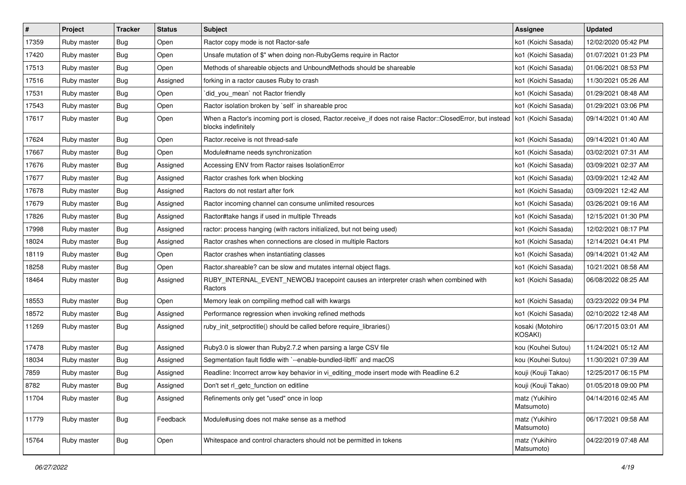| $\sharp$ | Project     | <b>Tracker</b> | <b>Status</b> | Subject                                                                                                                                                 | <b>Assignee</b>              | <b>Updated</b>      |
|----------|-------------|----------------|---------------|---------------------------------------------------------------------------------------------------------------------------------------------------------|------------------------------|---------------------|
| 17359    | Ruby master | <b>Bug</b>     | Open          | Ractor copy mode is not Ractor-safe                                                                                                                     | ko1 (Koichi Sasada)          | 12/02/2020 05:42 PM |
| 17420    | Ruby master | <b>Bug</b>     | Open          | Unsafe mutation of \$" when doing non-RubyGems require in Ractor                                                                                        | ko1 (Koichi Sasada)          | 01/07/2021 01:23 PM |
| 17513    | Ruby master | <b>Bug</b>     | Open          | Methods of shareable objects and UnboundMethods should be shareable                                                                                     | ko1 (Koichi Sasada)          | 01/06/2021 08:53 PM |
| 17516    | Ruby master | <b>Bug</b>     | Assigned      | forking in a ractor causes Ruby to crash                                                                                                                | ko1 (Koichi Sasada)          | 11/30/2021 05:26 AM |
| 17531    | Ruby master | Bug            | Open          | did_you_mean' not Ractor friendly                                                                                                                       | ko1 (Koichi Sasada)          | 01/29/2021 08:48 AM |
| 17543    | Ruby master | <b>Bug</b>     | Open          | Ractor isolation broken by `self` in shareable proc                                                                                                     | ko1 (Koichi Sasada)          | 01/29/2021 03:06 PM |
| 17617    | Ruby master | Bug            | Open          | When a Ractor's incoming port is closed, Ractor receive_if does not raise Ractor::ClosedError, but instead   ko1 (Koichi Sasada)<br>blocks indefinitely |                              | 09/14/2021 01:40 AM |
| 17624    | Ruby master | Bug            | Open          | Ractor.receive is not thread-safe                                                                                                                       | ko1 (Koichi Sasada)          | 09/14/2021 01:40 AM |
| 17667    | Ruby master | <b>Bug</b>     | Open          | Module#name needs synchronization                                                                                                                       | ko1 (Koichi Sasada)          | 03/02/2021 07:31 AM |
| 17676    | Ruby master | <b>Bug</b>     | Assigned      | Accessing ENV from Ractor raises IsolationError                                                                                                         | ko1 (Koichi Sasada)          | 03/09/2021 02:37 AM |
| 17677    | Ruby master | <b>Bug</b>     | Assigned      | Ractor crashes fork when blocking                                                                                                                       | ko1 (Koichi Sasada)          | 03/09/2021 12:42 AM |
| 17678    | Ruby master | Bug            | Assigned      | Ractors do not restart after fork                                                                                                                       | ko1 (Koichi Sasada)          | 03/09/2021 12:42 AM |
| 17679    | Ruby master | <b>Bug</b>     | Assigned      | Ractor incoming channel can consume unlimited resources                                                                                                 | ko1 (Koichi Sasada)          | 03/26/2021 09:16 AM |
| 17826    | Ruby master | <b>Bug</b>     | Assigned      | Ractor#take hangs if used in multiple Threads                                                                                                           | ko1 (Koichi Sasada)          | 12/15/2021 01:30 PM |
| 17998    | Ruby master | Bug            | Assigned      | ractor: process hanging (with ractors initialized, but not being used)                                                                                  | ko1 (Koichi Sasada)          | 12/02/2021 08:17 PM |
| 18024    | Ruby master | Bug            | Assigned      | Ractor crashes when connections are closed in multiple Ractors                                                                                          | ko1 (Koichi Sasada)          | 12/14/2021 04:41 PM |
| 18119    | Ruby master | Bug            | Open          | Ractor crashes when instantiating classes                                                                                                               | ko1 (Koichi Sasada)          | 09/14/2021 01:42 AM |
| 18258    | Ruby master | <b>Bug</b>     | Open          | Ractor shareable? can be slow and mutates internal object flags.                                                                                        | ko1 (Koichi Sasada)          | 10/21/2021 08:58 AM |
| 18464    | Ruby master | <b>Bug</b>     | Assigned      | RUBY_INTERNAL_EVENT_NEWOBJ tracepoint causes an interpreter crash when combined with<br>Ractors                                                         | ko1 (Koichi Sasada)          | 06/08/2022 08:25 AM |
| 18553    | Ruby master | Bug            | Open          | Memory leak on compiling method call with kwargs                                                                                                        | ko1 (Koichi Sasada)          | 03/23/2022 09:34 PM |
| 18572    | Ruby master | <b>Bug</b>     | Assigned      | Performance regression when invoking refined methods                                                                                                    | ko1 (Koichi Sasada)          | 02/10/2022 12:48 AM |
| 11269    | Ruby master | <b>Bug</b>     | Assigned      | ruby_init_setproctitle() should be called before require_libraries()                                                                                    | kosaki (Motohiro<br>KOSAKI)  | 06/17/2015 03:01 AM |
| 17478    | Ruby master | Bug            | Assigned      | Ruby3.0 is slower than Ruby2.7.2 when parsing a large CSV file                                                                                          | kou (Kouhei Sutou)           | 11/24/2021 05:12 AM |
| 18034    | Ruby master | <b>Bug</b>     | Assigned      | Segmentation fault fiddle with `--enable-bundled-libffi` and macOS                                                                                      | kou (Kouhei Sutou)           | 11/30/2021 07:39 AM |
| 7859     | Ruby master | <b>Bug</b>     | Assigned      | Readline: Incorrect arrow key behavior in vi_editing_mode insert mode with Readline 6.2                                                                 | kouji (Kouji Takao)          | 12/25/2017 06:15 PM |
| 8782     | Ruby master | Bug            | Assigned      | Don't set rl_getc_function on editline                                                                                                                  | kouji (Kouji Takao)          | 01/05/2018 09:00 PM |
| 11704    | Ruby master | Bug            | Assigned      | Refinements only get "used" once in loop                                                                                                                | matz (Yukihiro<br>Matsumoto) | 04/14/2016 02:45 AM |
| 11779    | Ruby master | Bug            | Feedback      | Module#using does not make sense as a method                                                                                                            | matz (Yukihiro<br>Matsumoto) | 06/17/2021 09:58 AM |
| 15764    | Ruby master | <b>Bug</b>     | Open          | Whitespace and control characters should not be permitted in tokens                                                                                     | matz (Yukihiro<br>Matsumoto) | 04/22/2019 07:48 AM |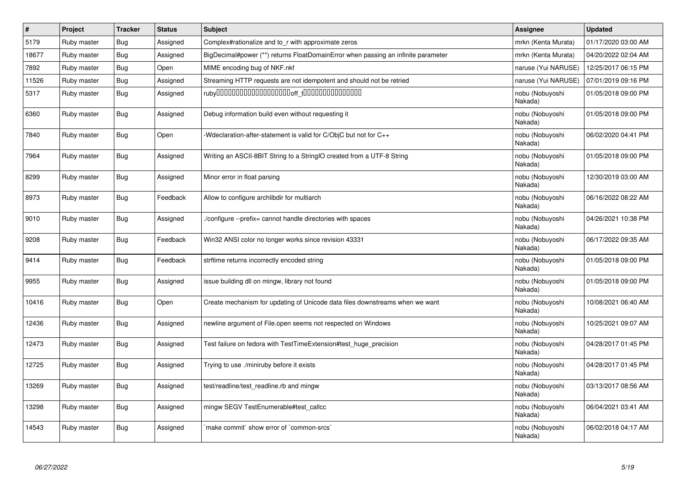| #     | Project     | <b>Tracker</b> | <b>Status</b> | <b>Subject</b>                                                                    | <b>Assignee</b>            | <b>Updated</b>      |
|-------|-------------|----------------|---------------|-----------------------------------------------------------------------------------|----------------------------|---------------------|
| 5179  | Ruby master | <b>Bug</b>     | Assigned      | Complex#rationalize and to r with approximate zeros                               | mrkn (Kenta Murata)        | 01/17/2020 03:00 AM |
| 18677 | Ruby master | <b>Bug</b>     | Assigned      | BigDecimal#power (**) returns FloatDomainError when passing an infinite parameter | mrkn (Kenta Murata)        | 04/20/2022 02:04 AM |
| 7892  | Ruby master | <b>Bug</b>     | Open          | MIME encoding bug of NKF.nkf                                                      | naruse (Yui NARUSE)        | 12/25/2017 06:15 PM |
| 11526 | Ruby master | <b>Bug</b>     | Assigned      | Streaming HTTP requests are not idempotent and should not be retried              | naruse (Yui NARUSE)        | 07/01/2019 09:16 PM |
| 5317  | Ruby master | <b>Bug</b>     | Assigned      |                                                                                   | nobu (Nobuyoshi<br>Nakada) | 01/05/2018 09:00 PM |
| 6360  | Ruby master | Bug            | Assigned      | Debug information build even without requesting it                                | nobu (Nobuyoshi<br>Nakada) | 01/05/2018 09:00 PM |
| 7840  | Ruby master | <b>Bug</b>     | Open          | Weclaration-after-statement is valid for C/ObjC but not for C++                   | nobu (Nobuyoshi<br>Nakada) | 06/02/2020 04:41 PM |
| 7964  | Ruby master | <b>Bug</b>     | Assigned      | Writing an ASCII-8BIT String to a StringIO created from a UTF-8 String            | nobu (Nobuyoshi<br>Nakada) | 01/05/2018 09:00 PM |
| 8299  | Ruby master | <b>Bug</b>     | Assigned      | Minor error in float parsing                                                      | nobu (Nobuyoshi<br>Nakada) | 12/30/2019 03:00 AM |
| 8973  | Ruby master | Bug            | Feedback      | Allow to configure archlibdir for multiarch                                       | nobu (Nobuyoshi<br>Nakada) | 06/16/2022 08:22 AM |
| 9010  | Ruby master | Bug            | Assigned      | /configure --prefix= cannot handle directories with spaces                        | nobu (Nobuyoshi<br>Nakada) | 04/26/2021 10:38 PM |
| 9208  | Ruby master | <b>Bug</b>     | Feedback      | Win32 ANSI color no longer works since revision 43331                             | nobu (Nobuyoshi<br>Nakada) | 06/17/2022 09:35 AM |
| 9414  | Ruby master | Bug            | Feedback      | strftime returns incorrectly encoded string                                       | nobu (Nobuyoshi<br>Nakada) | 01/05/2018 09:00 PM |
| 9955  | Ruby master | <b>Bug</b>     | Assigned      | issue building dll on mingw, library not found                                    | nobu (Nobuyoshi<br>Nakada) | 01/05/2018 09:00 PM |
| 10416 | Ruby master | <b>Bug</b>     | Open          | Create mechanism for updating of Unicode data files downstreams when we want      | nobu (Nobuyoshi<br>Nakada) | 10/08/2021 06:40 AM |
| 12436 | Ruby master | <b>Bug</b>     | Assigned      | newline argument of File.open seems not respected on Windows                      | nobu (Nobuyoshi<br>Nakada) | 10/25/2021 09:07 AM |
| 12473 | Ruby master | <b>Bug</b>     | Assigned      | Test failure on fedora with TestTimeExtension#test_huge_precision                 | nobu (Nobuyoshi<br>Nakada) | 04/28/2017 01:45 PM |
| 12725 | Ruby master | Bug            | Assigned      | Trying to use ./miniruby before it exists                                         | nobu (Nobuyoshi<br>Nakada) | 04/28/2017 01:45 PM |
| 13269 | Ruby master | <b>Bug</b>     | Assigned      | test/readline/test readline.rb and mingw                                          | nobu (Nobuyoshi<br>Nakada) | 03/13/2017 08:56 AM |
| 13298 | Ruby master | <b>Bug</b>     | Assigned      | mingw SEGV TestEnumerable#test_callcc                                             | nobu (Nobuyoshi<br>Nakada) | 06/04/2021 03:41 AM |
| 14543 | Ruby master | <b>Bug</b>     | Assigned      | make commit` show error of `common-srcs`                                          | nobu (Nobuyoshi<br>Nakada) | 06/02/2018 04:17 AM |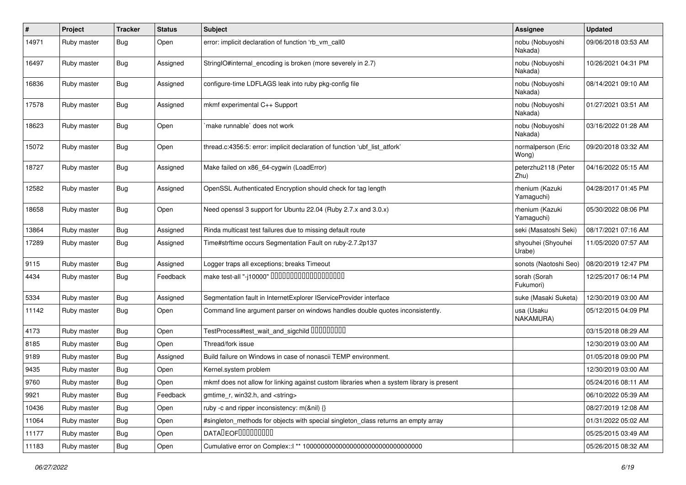| #     | Project     | <b>Tracker</b> | <b>Status</b> | Subject                                                                                   | Assignee                      | <b>Updated</b>      |
|-------|-------------|----------------|---------------|-------------------------------------------------------------------------------------------|-------------------------------|---------------------|
| 14971 | Ruby master | Bug            | Open          | error: implicit declaration of function 'rb_vm_call0                                      | nobu (Nobuyoshi<br>Nakada)    | 09/06/2018 03:53 AM |
| 16497 | Ruby master | Bug            | Assigned      | StringIO#internal_encoding is broken (more severely in 2.7)                               | nobu (Nobuyoshi<br>Nakada)    | 10/26/2021 04:31 PM |
| 16836 | Ruby master | <b>Bug</b>     | Assigned      | configure-time LDFLAGS leak into ruby pkg-config file                                     | nobu (Nobuyoshi<br>Nakada)    | 08/14/2021 09:10 AM |
| 17578 | Ruby master | <b>Bug</b>     | Assigned      | mkmf experimental C++ Support                                                             | nobu (Nobuyoshi<br>Nakada)    | 01/27/2021 03:51 AM |
| 18623 | Ruby master | <b>Bug</b>     | Open          | 'make runnable' does not work                                                             | nobu (Nobuyoshi<br>Nakada)    | 03/16/2022 01:28 AM |
| 15072 | Ruby master | <b>Bug</b>     | Open          | thread.c:4356:5: error: implicit declaration of function 'ubf_list_atfork'                | normalperson (Eric<br>Wong)   | 09/20/2018 03:32 AM |
| 18727 | Ruby master | <b>Bug</b>     | Assigned      | Make failed on x86_64-cygwin (LoadError)                                                  | peterzhu2118 (Peter<br>Zhu)   | 04/16/2022 05:15 AM |
| 12582 | Ruby master | Bug            | Assigned      | OpenSSL Authenticated Encryption should check for tag length                              | rhenium (Kazuki<br>Yamaguchi) | 04/28/2017 01:45 PM |
| 18658 | Ruby master | Bug            | Open          | Need openssl 3 support for Ubuntu 22.04 (Ruby 2.7.x and 3.0.x)                            | rhenium (Kazuki<br>Yamaguchi) | 05/30/2022 08:06 PM |
| 13864 | Ruby master | Bug            | Assigned      | Rinda multicast test failures due to missing default route                                | seki (Masatoshi Seki)         | 08/17/2021 07:16 AM |
| 17289 | Ruby master | Bug            | Assigned      | Time#strftime occurs Segmentation Fault on ruby-2.7.2p137                                 | shyouhei (Shyouhei<br>Urabe)  | 11/05/2020 07:57 AM |
| 9115  | Ruby master | Bug            | Assigned      | Logger traps all exceptions; breaks Timeout                                               | sonots (Naotoshi Seo)         | 08/20/2019 12:47 PM |
| 4434  | Ruby master | Bug            | Feedback      | make test-all "-j10000" 00000000000000000000                                              | sorah (Sorah<br>Fukumori)     | 12/25/2017 06:14 PM |
| 5334  | Ruby master | Bug            | Assigned      | Segmentation fault in InternetExplorer IServiceProvider interface                         | suke (Masaki Suketa)          | 12/30/2019 03:00 AM |
| 11142 | Ruby master | <b>Bug</b>     | Open          | Command line argument parser on windows handles double quotes inconsistently.             | usa (Usaku<br>NAKAMURA)       | 05/12/2015 04:09 PM |
| 4173  | Ruby master | Bug            | Open          | TestProcess#test_wait_and_sigchild 00000000                                               |                               | 03/15/2018 08:29 AM |
| 8185  | Ruby master | Bug            | Open          | Thread/fork issue                                                                         |                               | 12/30/2019 03:00 AM |
| 9189  | Ruby master | <b>Bug</b>     | Assigned      | Build failure on Windows in case of nonascii TEMP environment.                            |                               | 01/05/2018 09:00 PM |
| 9435  | Ruby master | <b>Bug</b>     | Open          | Kernel.system problem                                                                     |                               | 12/30/2019 03:00 AM |
| 9760  | Ruby master | <b>Bug</b>     | Open          | mkmf does not allow for linking against custom libraries when a system library is present |                               | 05/24/2016 08:11 AM |
| 9921  | Ruby master | <b>Bug</b>     | Feedback      | gmtime_r, win32.h, and <string></string>                                                  |                               | 06/10/2022 05:39 AM |
| 10436 | Ruby master | <b>Bug</b>     | Open          | ruby -c and ripper inconsistency: m(&nil) {}                                              |                               | 08/27/2019 12:08 AM |
| 11064 | Ruby master | <b>Bug</b>     | Open          | #singleton_methods for objects with special singleton_class returns an empty array        |                               | 01/31/2022 05:02 AM |
| 11177 | Ruby master | <b>Bug</b>     | Open          | DATALEOFILLLLLLLLLL                                                                       |                               | 05/25/2015 03:49 AM |
| 11183 | Ruby master | <b>Bug</b>     | Open          |                                                                                           |                               | 05/26/2015 08:32 AM |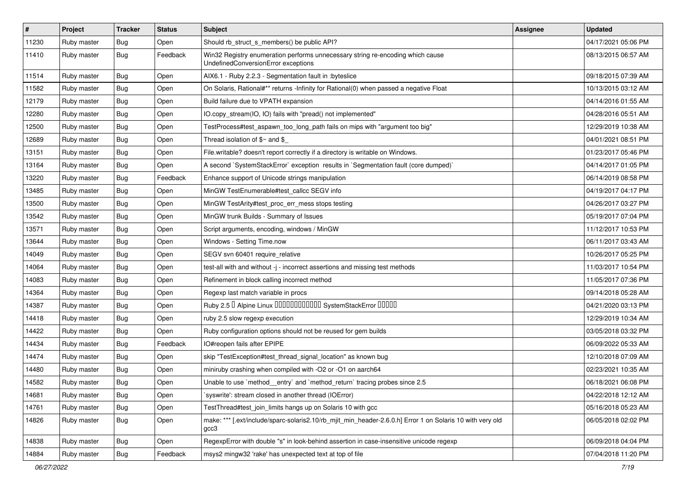| $\pmb{\#}$ | Project     | <b>Tracker</b> | <b>Status</b> | <b>Subject</b>                                                                                                        | <b>Assignee</b> | <b>Updated</b>      |
|------------|-------------|----------------|---------------|-----------------------------------------------------------------------------------------------------------------------|-----------------|---------------------|
| 11230      | Ruby master | Bug            | Open          | Should rb_struct_s_members() be public API?                                                                           |                 | 04/17/2021 05:06 PM |
| 11410      | Ruby master | Bug            | Feedback      | Win32 Registry enumeration performs unnecessary string re-encoding which cause<br>UndefinedConversionError exceptions |                 | 08/13/2015 06:57 AM |
| 11514      | Ruby master | <b>Bug</b>     | Open          | AIX6.1 - Ruby 2.2.3 - Segmentation fault in :byteslice                                                                |                 | 09/18/2015 07:39 AM |
| 11582      | Ruby master | Bug            | Open          | On Solaris, Rational#** returns -Infinity for Rational(0) when passed a negative Float                                |                 | 10/13/2015 03:12 AM |
| 12179      | Ruby master | Bug            | Open          | Build failure due to VPATH expansion                                                                                  |                 | 04/14/2016 01:55 AM |
| 12280      | Ruby master | Bug            | Open          | IO.copy_stream(IO, IO) fails with "pread() not implemented"                                                           |                 | 04/28/2016 05:51 AM |
| 12500      | Ruby master | Bug            | Open          | TestProcess#test_aspawn_too_long_path fails on mips with "argument too big"                                           |                 | 12/29/2019 10:38 AM |
| 12689      | Ruby master | Bug            | Open          | Thread isolation of $$~$ and $$$                                                                                      |                 | 04/01/2021 08:51 PM |
| 13151      | Ruby master | Bug            | Open          | File.writable? doesn't report correctly if a directory is writable on Windows.                                        |                 | 01/23/2017 05:46 PM |
| 13164      | Ruby master | Bug            | Open          | A second `SystemStackError` exception results in `Segmentation fault (core dumped)`                                   |                 | 04/14/2017 01:05 PM |
| 13220      | Ruby master | <b>Bug</b>     | Feedback      | Enhance support of Unicode strings manipulation                                                                       |                 | 06/14/2019 08:58 PM |
| 13485      | Ruby master | Bug            | Open          | MinGW TestEnumerable#test_callcc SEGV info                                                                            |                 | 04/19/2017 04:17 PM |
| 13500      | Ruby master | Bug            | Open          | MinGW TestArity#test_proc_err_mess stops testing                                                                      |                 | 04/26/2017 03:27 PM |
| 13542      | Ruby master | Bug            | Open          | MinGW trunk Builds - Summary of Issues                                                                                |                 | 05/19/2017 07:04 PM |
| 13571      | Ruby master | Bug            | Open          | Script arguments, encoding, windows / MinGW                                                                           |                 | 11/12/2017 10:53 PM |
| 13644      | Ruby master | Bug            | Open          | Windows - Setting Time.now                                                                                            |                 | 06/11/2017 03:43 AM |
| 14049      | Ruby master | Bug            | Open          | SEGV svn 60401 require_relative                                                                                       |                 | 10/26/2017 05:25 PM |
| 14064      | Ruby master | Bug            | Open          | test-all with and without -j - incorrect assertions and missing test methods                                          |                 | 11/03/2017 10:54 PM |
| 14083      | Ruby master | Bug            | Open          | Refinement in block calling incorrect method                                                                          |                 | 11/05/2017 07:36 PM |
| 14364      | Ruby master | Bug            | Open          | Regexp last match variable in procs                                                                                   |                 | 09/14/2018 05:28 AM |
| 14387      | Ruby master | Bug            | Open          | Ruby 2.5 <sup>D</sup> Alpine Linux 000000000000 SystemStackError 00000                                                |                 | 04/21/2020 03:13 PM |
| 14418      | Ruby master | Bug            | Open          | ruby 2.5 slow regexp execution                                                                                        |                 | 12/29/2019 10:34 AM |
| 14422      | Ruby master | Bug            | Open          | Ruby configuration options should not be reused for gem builds                                                        |                 | 03/05/2018 03:32 PM |
| 14434      | Ruby master | <b>Bug</b>     | Feedback      | IO#reopen fails after EPIPE                                                                                           |                 | 06/09/2022 05:33 AM |
| 14474      | Ruby master | Bug            | Open          | skip "TestException#test_thread_signal_location" as known bug                                                         |                 | 12/10/2018 07:09 AM |
| 14480      | Ruby master | <b>Bug</b>     | Open          | miniruby crashing when compiled with -O2 or -O1 on aarch64                                                            |                 | 02/23/2021 10:35 AM |
| 14582      | Ruby master | <b>Bug</b>     | Open          | Unable to use `method_entry` and `method_return` tracing probes since 2.5                                             |                 | 06/18/2021 06:08 PM |
| 14681      | Ruby master | <b>Bug</b>     | Open          | syswrite': stream closed in another thread (IOError)                                                                  |                 | 04/22/2018 12:12 AM |
| 14761      | Ruby master | <b>Bug</b>     | Open          | TestThread#test join limits hangs up on Solaris 10 with gcc                                                           |                 | 05/16/2018 05:23 AM |
| 14826      | Ruby master | <b>Bug</b>     | Open          | make: *** [.ext/include/sparc-solaris2.10/rb_mjit_min_header-2.6.0.h] Error 1 on Solaris 10 with very old<br>gcc3     |                 | 06/05/2018 02:02 PM |
| 14838      | Ruby master | <b>Bug</b>     | Open          | RegexpError with double "s" in look-behind assertion in case-insensitive unicode regexp                               |                 | 06/09/2018 04:04 PM |
| 14884      | Ruby master | <b>Bug</b>     | Feedback      | msys2 mingw32 'rake' has unexpected text at top of file                                                               |                 | 07/04/2018 11:20 PM |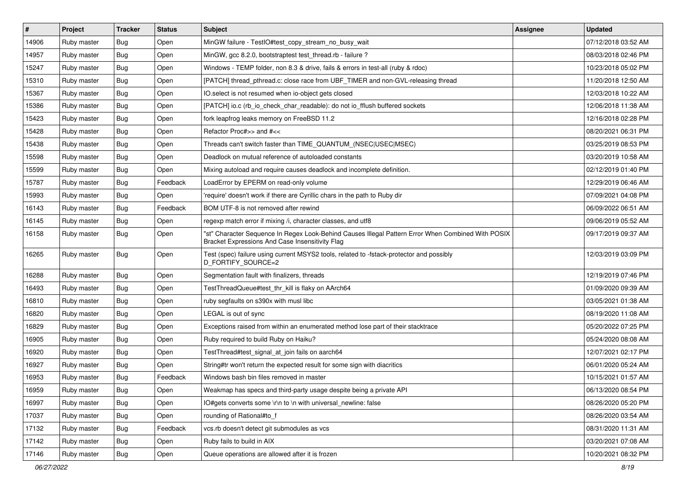| #     | Project     | <b>Tracker</b> | <b>Status</b> | Subject                                                                                                                                               | Assignee | <b>Updated</b>      |
|-------|-------------|----------------|---------------|-------------------------------------------------------------------------------------------------------------------------------------------------------|----------|---------------------|
| 14906 | Ruby master | Bug            | Open          | MinGW failure - TestIO#test_copy_stream_no_busy_wait                                                                                                  |          | 07/12/2018 03:52 AM |
| 14957 | Ruby master | Bug            | Open          | MinGW, gcc 8.2.0, bootstraptest test_thread.rb - failure ?                                                                                            |          | 08/03/2018 02:46 PM |
| 15247 | Ruby master | Bug            | Open          | Windows - TEMP folder, non 8.3 & drive, fails & errors in test-all (ruby & rdoc)                                                                      |          | 10/23/2018 05:02 PM |
| 15310 | Ruby master | Bug            | Open          | [PATCH] thread pthread.c: close race from UBF TIMER and non-GVL-releasing thread                                                                      |          | 11/20/2018 12:50 AM |
| 15367 | Ruby master | <b>Bug</b>     | Open          | IO.select is not resumed when io-object gets closed                                                                                                   |          | 12/03/2018 10:22 AM |
| 15386 | Ruby master | Bug            | Open          | [PATCH] io.c (rb_io_check_char_readable): do not io_fflush buffered sockets                                                                           |          | 12/06/2018 11:38 AM |
| 15423 | Ruby master | Bug            | Open          | fork leapfrog leaks memory on FreeBSD 11.2                                                                                                            |          | 12/16/2018 02:28 PM |
| 15428 | Ruby master | Bug            | Open          | Refactor Proc#>> and #<<                                                                                                                              |          | 08/20/2021 06:31 PM |
| 15438 | Ruby master | <b>Bug</b>     | Open          | Threads can't switch faster than TIME_QUANTUM_(NSEC USEC MSEC)                                                                                        |          | 03/25/2019 08:53 PM |
| 15598 | Ruby master | Bug            | Open          | Deadlock on mutual reference of autoloaded constants                                                                                                  |          | 03/20/2019 10:58 AM |
| 15599 | Ruby master | Bug            | Open          | Mixing autoload and require causes deadlock and incomplete definition.                                                                                |          | 02/12/2019 01:40 PM |
| 15787 | Ruby master | Bug            | Feedback      | LoadError by EPERM on read-only volume                                                                                                                |          | 12/29/2019 06:46 AM |
| 15993 | Ruby master | Bug            | Open          | 'require' doesn't work if there are Cyrillic chars in the path to Ruby dir                                                                            |          | 07/09/2021 04:08 PM |
| 16143 | Ruby master | Bug            | Feedback      | BOM UTF-8 is not removed after rewind                                                                                                                 |          | 06/09/2022 06:51 AM |
| 16145 | Ruby master | Bug            | Open          | regexp match error if mixing /i, character classes, and utf8                                                                                          |          | 09/06/2019 05:52 AM |
| 16158 | Ruby master | Bug            | Open          | "st" Character Sequence In Regex Look-Behind Causes Illegal Pattern Error When Combined With POSIX<br>Bracket Expressions And Case Insensitivity Flag |          | 09/17/2019 09:37 AM |
| 16265 | Ruby master | <b>Bug</b>     | Open          | Test (spec) failure using current MSYS2 tools, related to -fstack-protector and possibly<br>D_FORTIFY_SOURCE=2                                        |          | 12/03/2019 03:09 PM |
| 16288 | Ruby master | Bug            | Open          | Segmentation fault with finalizers, threads                                                                                                           |          | 12/19/2019 07:46 PM |
| 16493 | Ruby master | Bug            | Open          | TestThreadQueue#test_thr_kill is flaky on AArch64                                                                                                     |          | 01/09/2020 09:39 AM |
| 16810 | Ruby master | Bug            | Open          | ruby segfaults on s390x with musl libc                                                                                                                |          | 03/05/2021 01:38 AM |
| 16820 | Ruby master | Bug            | Open          | LEGAL is out of sync                                                                                                                                  |          | 08/19/2020 11:08 AM |
| 16829 | Ruby master | Bug            | Open          | Exceptions raised from within an enumerated method lose part of their stacktrace                                                                      |          | 05/20/2022 07:25 PM |
| 16905 | Ruby master | <b>Bug</b>     | Open          | Ruby required to build Ruby on Haiku?                                                                                                                 |          | 05/24/2020 08:08 AM |
| 16920 | Ruby master | <b>Bug</b>     | Open          | TestThread#test_signal_at_join fails on aarch64                                                                                                       |          | 12/07/2021 02:17 PM |
| 16927 | Ruby master | Bug            | Open          | String#tr won't return the expected result for some sign with diacritics                                                                              |          | 06/01/2020 05:24 AM |
| 16953 | Ruby master | Bug            | Feedback      | Windows bash bin files removed in master                                                                                                              |          | 10/15/2021 01:57 AM |
| 16959 | Ruby master | <b>Bug</b>     | Open          | Weakmap has specs and third-party usage despite being a private API                                                                                   |          | 06/13/2020 08:54 PM |
| 16997 | Ruby master | <b>Bug</b>     | Open          | IO#gets converts some \r\n to \n with universal_newline: false                                                                                        |          | 08/26/2020 05:20 PM |
| 17037 | Ruby master | <b>Bug</b>     | Open          | rounding of Rational#to_f                                                                                                                             |          | 08/26/2020 03:54 AM |
| 17132 | Ruby master | <b>Bug</b>     | Feedback      | vcs.rb doesn't detect git submodules as vcs                                                                                                           |          | 08/31/2020 11:31 AM |
| 17142 | Ruby master | <b>Bug</b>     | Open          | Ruby fails to build in AIX                                                                                                                            |          | 03/20/2021 07:08 AM |
| 17146 | Ruby master | <b>Bug</b>     | Open          | Queue operations are allowed after it is frozen                                                                                                       |          | 10/20/2021 08:32 PM |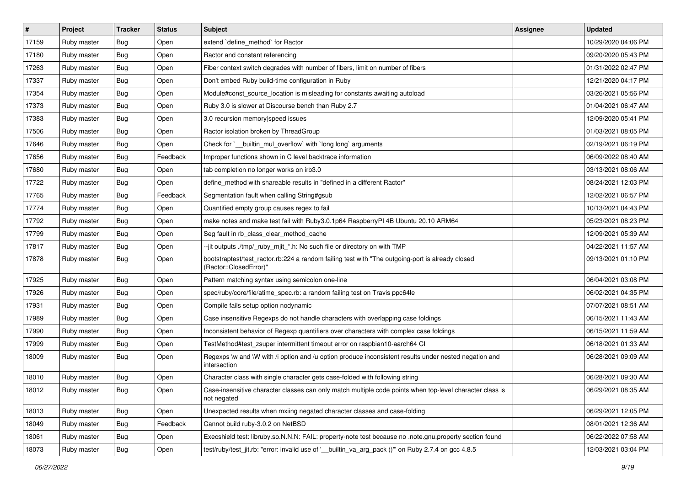| #     | Project     | <b>Tracker</b> | <b>Status</b> | Subject                                                                                                                    | Assignee | <b>Updated</b>      |
|-------|-------------|----------------|---------------|----------------------------------------------------------------------------------------------------------------------------|----------|---------------------|
| 17159 | Ruby master | Bug            | Open          | extend 'define_method' for Ractor                                                                                          |          | 10/29/2020 04:06 PM |
| 17180 | Ruby master | Bug            | Open          | Ractor and constant referencing                                                                                            |          | 09/20/2020 05:43 PM |
| 17263 | Ruby master | Bug            | Open          | Fiber context switch degrades with number of fibers, limit on number of fibers                                             |          | 01/31/2022 02:47 PM |
| 17337 | Ruby master | Bug            | Open          | Don't embed Ruby build-time configuration in Ruby                                                                          |          | 12/21/2020 04:17 PM |
| 17354 | Ruby master | <b>Bug</b>     | Open          | Module#const_source_location is misleading for constants awaiting autoload                                                 |          | 03/26/2021 05:56 PM |
| 17373 | Ruby master | Bug            | Open          | Ruby 3.0 is slower at Discourse bench than Ruby 2.7                                                                        |          | 01/04/2021 06:47 AM |
| 17383 | Ruby master | Bug            | Open          | 3.0 recursion memory speed issues                                                                                          |          | 12/09/2020 05:41 PM |
| 17506 | Ruby master | Bug            | Open          | Ractor isolation broken by ThreadGroup                                                                                     |          | 01/03/2021 08:05 PM |
| 17646 | Ruby master | <b>Bug</b>     | Open          | Check for `__builtin_mul_overflow` with `long long` arguments                                                              |          | 02/19/2021 06:19 PM |
| 17656 | Ruby master | <b>Bug</b>     | Feedback      | Improper functions shown in C level backtrace information                                                                  |          | 06/09/2022 08:40 AM |
| 17680 | Ruby master | Bug            | Open          | tab completion no longer works on irb3.0                                                                                   |          | 03/13/2021 08:06 AM |
| 17722 | Ruby master | Bug            | Open          | define_method with shareable results in "defined in a different Ractor"                                                    |          | 08/24/2021 12:03 PM |
| 17765 | Ruby master | Bug            | Feedback      | Segmentation fault when calling String#gsub                                                                                |          | 12/02/2021 06:57 PM |
| 17774 | Ruby master | <b>Bug</b>     | Open          | Quantified empty group causes regex to fail                                                                                |          | 10/13/2021 04:43 PM |
| 17792 | Ruby master | Bug            | Open          | make notes and make test fail with Ruby3.0.1p64 RaspberryPI 4B Ubuntu 20.10 ARM64                                          |          | 05/23/2021 08:23 PM |
| 17799 | Ruby master | Bug            | Open          | Seg fault in rb_class_clear_method_cache                                                                                   |          | 12/09/2021 05:39 AM |
| 17817 | Ruby master | <b>Bug</b>     | Open          | --jit outputs ./tmp/_ruby_mjit_*.h: No such file or directory on with TMP                                                  |          | 04/22/2021 11:57 AM |
| 17878 | Ruby master | <b>Bug</b>     | Open          | bootstraptest/test_ractor.rb:224 a random failing test with "The outgoing-port is already closed<br>(Ractor::ClosedError)" |          | 09/13/2021 01:10 PM |
| 17925 | Ruby master | Bug            | Open          | Pattern matching syntax using semicolon one-line                                                                           |          | 06/04/2021 03:08 PM |
| 17926 | Ruby master | Bug            | Open          | spec/ruby/core/file/atime_spec.rb: a random failing test on Travis ppc64le                                                 |          | 06/02/2021 04:35 PM |
| 17931 | Ruby master | Bug            | Open          | Compile fails setup option nodynamic                                                                                       |          | 07/07/2021 08:51 AM |
| 17989 | Ruby master | <b>Bug</b>     | Open          | Case insensitive Regexps do not handle characters with overlapping case foldings                                           |          | 06/15/2021 11:43 AM |
| 17990 | Ruby master | <b>Bug</b>     | Open          | Inconsistent behavior of Regexp quantifiers over characters with complex case foldings                                     |          | 06/15/2021 11:59 AM |
| 17999 | Ruby master | <b>Bug</b>     | Open          | TestMethod#test_zsuper intermittent timeout error on raspbian10-aarch64 CI                                                 |          | 06/18/2021 01:33 AM |
| 18009 | Ruby master | Bug            | Open          | Regexps \w and \W with /i option and /u option produce inconsistent results under nested negation and<br>intersection      |          | 06/28/2021 09:09 AM |
| 18010 | Ruby master | Bug            | Open          | Character class with single character gets case-folded with following string                                               |          | 06/28/2021 09:30 AM |
| 18012 | Ruby master | <b>Bug</b>     | Open          | Case-insensitive character classes can only match multiple code points when top-level character class is<br>not negated    |          | 06/29/2021 08:35 AM |
| 18013 | Ruby master | <b>Bug</b>     | Open          | Unexpected results when mxiing negated character classes and case-folding                                                  |          | 06/29/2021 12:05 PM |
| 18049 | Ruby master | Bug            | Feedback      | Cannot build ruby-3.0.2 on NetBSD                                                                                          |          | 08/01/2021 12:36 AM |
| 18061 | Ruby master | <b>Bug</b>     | Open          | Execshield test: libruby.so.N.N.N: FAIL: property-note test because no .note.gnu.property section found                    |          | 06/22/2022 07:58 AM |
| 18073 | Ruby master | Bug            | Open          | test/ruby/test_jit.rb: "error: invalid use of ' builtin_va_arg_pack ()" on Ruby 2.7.4 on gcc 4.8.5                         |          | 12/03/2021 03:04 PM |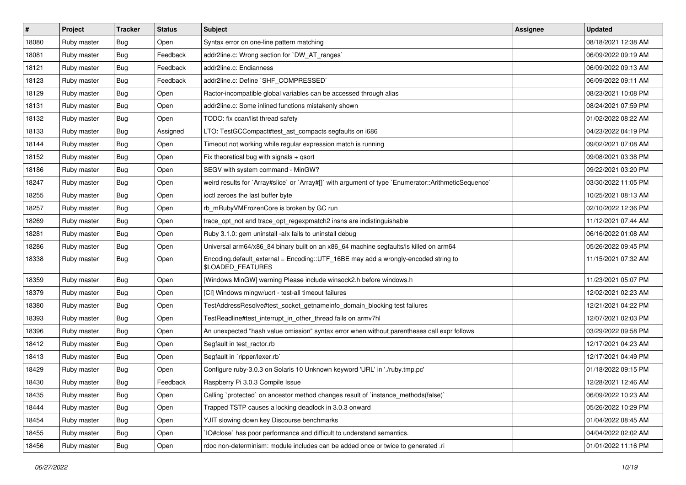| $\vert$ # | Project     | <b>Tracker</b> | <b>Status</b> | <b>Subject</b>                                                                                          | <b>Assignee</b> | <b>Updated</b>      |
|-----------|-------------|----------------|---------------|---------------------------------------------------------------------------------------------------------|-----------------|---------------------|
| 18080     | Ruby master | Bug            | Open          | Syntax error on one-line pattern matching                                                               |                 | 08/18/2021 12:38 AM |
| 18081     | Ruby master | Bug            | Feedback      | addr2line.c: Wrong section for `DW_AT_ranges`                                                           |                 | 06/09/2022 09:19 AM |
| 18121     | Ruby master | Bug            | Feedback      | addr2line.c: Endianness                                                                                 |                 | 06/09/2022 09:13 AM |
| 18123     | Ruby master | Bug            | Feedback      | addr2line.c: Define `SHF_COMPRESSED`                                                                    |                 | 06/09/2022 09:11 AM |
| 18129     | Ruby master | Bug            | Open          | Ractor-incompatible global variables can be accessed through alias                                      |                 | 08/23/2021 10:08 PM |
| 18131     | Ruby master | Bug            | Open          | addr2line.c: Some inlined functions mistakenly shown                                                    |                 | 08/24/2021 07:59 PM |
| 18132     | Ruby master | Bug            | Open          | TODO: fix ccan/list thread safety                                                                       |                 | 01/02/2022 08:22 AM |
| 18133     | Ruby master | <b>Bug</b>     | Assigned      | LTO: TestGCCompact#test_ast_compacts segfaults on i686                                                  |                 | 04/23/2022 04:19 PM |
| 18144     | Ruby master | Bug            | Open          | Timeout not working while regular expression match is running                                           |                 | 09/02/2021 07:08 AM |
| 18152     | Ruby master | Bug            | Open          | Fix theoretical bug with signals + qsort                                                                |                 | 09/08/2021 03:38 PM |
| 18186     | Ruby master | Bug            | Open          | SEGV with system command - MinGW?                                                                       |                 | 09/22/2021 03:20 PM |
| 18247     | Ruby master | Bug            | Open          | weird results for `Array#slice` or `Array#[]` with argument of type `Enumerator::ArithmeticSequence`    |                 | 03/30/2022 11:05 PM |
| 18255     | Ruby master | Bug            | Open          | ioctl zeroes the last buffer byte                                                                       |                 | 10/25/2021 08:13 AM |
| 18257     | Ruby master | Bug            | Open          | rb_mRubyVMFrozenCore is broken by GC run                                                                |                 | 02/10/2022 12:36 PM |
| 18269     | Ruby master | Bug            | Open          | trace_opt_not and trace_opt_regexpmatch2 insns are indistinguishable                                    |                 | 11/12/2021 07:44 AM |
| 18281     | Ruby master | Bug            | Open          | Ruby 3.1.0: gem uninstall -alx fails to uninstall debug                                                 |                 | 06/16/2022 01:08 AM |
| 18286     | Ruby master | <b>Bug</b>     | Open          | Universal arm64/x86_84 binary built on an x86_64 machine segfaults/is killed on arm64                   |                 | 05/26/2022 09:45 PM |
| 18338     | Ruby master | Bug            | Open          | Encoding.default_external = Encoding::UTF_16BE may add a wrongly-encoded string to<br>\$LOADED_FEATURES |                 | 11/15/2021 07:32 AM |
| 18359     | Ruby master | Bug            | Open          | [Windows MinGW] warning Please include winsock2.h before windows.h                                      |                 | 11/23/2021 05:07 PM |
| 18379     | Ruby master | Bug            | Open          | [CI] Windows mingw/ucrt - test-all timeout failures                                                     |                 | 12/02/2021 02:23 AM |
| 18380     | Ruby master | Bug            | Open          | TestAddressResolve#test_socket_getnameinfo_domain_blocking test failures                                |                 | 12/21/2021 04:22 PM |
| 18393     | Ruby master | Bug            | Open          | TestReadline#test_interrupt_in_other_thread fails on armv7hl                                            |                 | 12/07/2021 02:03 PM |
| 18396     | Ruby master | Bug            | Open          | An unexpected "hash value omission" syntax error when without parentheses call expr follows             |                 | 03/29/2022 09:58 PM |
| 18412     | Ruby master | Bug            | Open          | Segfault in test_ractor.rb                                                                              |                 | 12/17/2021 04:23 AM |
| 18413     | Ruby master | Bug            | Open          | Segfault in 'ripper/lexer.rb'                                                                           |                 | 12/17/2021 04:49 PM |
| 18429     | Ruby master | <b>Bug</b>     | Open          | Configure ruby-3.0.3 on Solaris 10 Unknown keyword 'URL' in './ruby.tmp.pc'                             |                 | 01/18/2022 09:15 PM |
| 18430     | Ruby master | Bug            | Feedback      | Raspberry Pi 3.0.3 Compile Issue                                                                        |                 | 12/28/2021 12:46 AM |
| 18435     | Ruby master | <b>Bug</b>     | Open          | Calling `protected` on ancestor method changes result of `instance_methods(false)`                      |                 | 06/09/2022 10:23 AM |
| 18444     | Ruby master | Bug            | Open          | Trapped TSTP causes a locking deadlock in 3.0.3 onward                                                  |                 | 05/26/2022 10:29 PM |
| 18454     | Ruby master | <b>Bug</b>     | Open          | YJIT slowing down key Discourse benchmarks                                                              |                 | 01/04/2022 08:45 AM |
| 18455     | Ruby master | <b>Bug</b>     | Open          | IO#close` has poor performance and difficult to understand semantics.                                   |                 | 04/04/2022 02:02 AM |
| 18456     | Ruby master | <b>Bug</b>     | Open          | rdoc non-determinism: module includes can be added once or twice to generated .ri                       |                 | 01/01/2022 11:16 PM |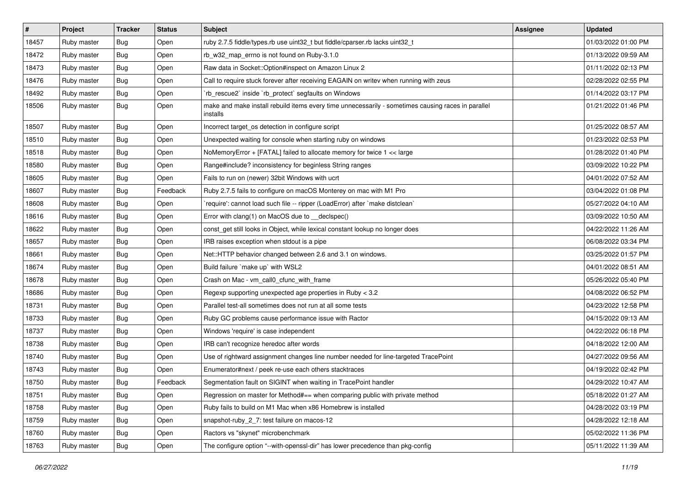| $\vert$ # | Project     | <b>Tracker</b> | <b>Status</b> | <b>Subject</b>                                                                                                 | Assignee | <b>Updated</b>      |
|-----------|-------------|----------------|---------------|----------------------------------------------------------------------------------------------------------------|----------|---------------------|
| 18457     | Ruby master | Bug            | Open          | ruby 2.7.5 fiddle/types.rb use uint32_t but fiddle/cparser.rb lacks uint32_t                                   |          | 01/03/2022 01:00 PM |
| 18472     | Ruby master | Bug            | Open          | rb_w32_map_errno is not found on Ruby-3.1.0                                                                    |          | 01/13/2022 09:59 AM |
| 18473     | Ruby master | Bug            | Open          | Raw data in Socket::Option#inspect on Amazon Linux 2                                                           |          | 01/11/2022 02:13 PM |
| 18476     | Ruby master | <b>Bug</b>     | Open          | Call to require stuck forever after receiving EAGAIN on writev when running with zeus                          |          | 02/28/2022 02:55 PM |
| 18492     | Ruby master | Bug            | Open          | 'rb_rescue2' inside 'rb_protect' segfaults on Windows                                                          |          | 01/14/2022 03:17 PM |
| 18506     | Ruby master | Bug            | Open          | make and make install rebuild items every time unnecessarily - sometimes causing races in parallel<br>installs |          | 01/21/2022 01:46 PM |
| 18507     | Ruby master | Bug            | Open          | Incorrect target os detection in configure script                                                              |          | 01/25/2022 08:57 AM |
| 18510     | Ruby master | Bug            | Open          | Unexpected waiting for console when starting ruby on windows                                                   |          | 01/23/2022 02:53 PM |
| 18518     | Ruby master | Bug            | Open          | NoMemoryError + [FATAL] failed to allocate memory for twice 1 << large                                         |          | 01/28/2022 01:40 PM |
| 18580     | Ruby master | Bug            | Open          | Range#include? inconsistency for beginless String ranges                                                       |          | 03/09/2022 10:22 PM |
| 18605     | Ruby master | <b>Bug</b>     | Open          | Fails to run on (newer) 32bit Windows with ucrt                                                                |          | 04/01/2022 07:52 AM |
| 18607     | Ruby master | Bug            | Feedback      | Ruby 2.7.5 fails to configure on macOS Monterey on mac with M1 Pro                                             |          | 03/04/2022 01:08 PM |
| 18608     | Ruby master | Bug            | Open          | 'require': cannot load such file -- ripper (LoadError) after 'make distclean'                                  |          | 05/27/2022 04:10 AM |
| 18616     | Ruby master | Bug            | Open          | Error with clang(1) on MacOS due to _declspec()                                                                |          | 03/09/2022 10:50 AM |
| 18622     | Ruby master | Bug            | Open          | const_get still looks in Object, while lexical constant lookup no longer does                                  |          | 04/22/2022 11:26 AM |
| 18657     | Ruby master | <b>Bug</b>     | Open          | IRB raises exception when stdout is a pipe                                                                     |          | 06/08/2022 03:34 PM |
| 18661     | Ruby master | Bug            | Open          | Net::HTTP behavior changed between 2.6 and 3.1 on windows.                                                     |          | 03/25/2022 01:57 PM |
| 18674     | Ruby master | Bug            | Open          | Build failure `make up` with WSL2                                                                              |          | 04/01/2022 08:51 AM |
| 18678     | Ruby master | Bug            | Open          | Crash on Mac - vm_call0_cfunc_with_frame                                                                       |          | 05/26/2022 05:40 PM |
| 18686     | Ruby master | Bug            | Open          | Regexp supporting unexpected age properties in Ruby < 3.2                                                      |          | 04/08/2022 06:52 PM |
| 18731     | Ruby master | Bug            | Open          | Parallel test-all sometimes does not run at all some tests                                                     |          | 04/23/2022 12:58 PM |
| 18733     | Ruby master | Bug            | Open          | Ruby GC problems cause performance issue with Ractor                                                           |          | 04/15/2022 09:13 AM |
| 18737     | Ruby master | <b>Bug</b>     | Open          | Windows 'require' is case independent                                                                          |          | 04/22/2022 06:18 PM |
| 18738     | Ruby master | Bug            | Open          | IRB can't recognize heredoc after words                                                                        |          | 04/18/2022 12:00 AM |
| 18740     | Ruby master | <b>Bug</b>     | Open          | Use of rightward assignment changes line number needed for line-targeted TracePoint                            |          | 04/27/2022 09:56 AM |
| 18743     | Ruby master | Bug            | Open          | Enumerator#next / peek re-use each others stacktraces                                                          |          | 04/19/2022 02:42 PM |
| 18750     | Ruby master | Bug            | Feedback      | Segmentation fault on SIGINT when waiting in TracePoint handler                                                |          | 04/29/2022 10:47 AM |
| 18751     | Ruby master | Bug            | Open          | Regression on master for Method#== when comparing public with private method                                   |          | 05/18/2022 01:27 AM |
| 18758     | Ruby master | <b>Bug</b>     | Open          | Ruby fails to build on M1 Mac when x86 Homebrew is installed                                                   |          | 04/28/2022 03:19 PM |
| 18759     | Ruby master | <b>Bug</b>     | Open          | snapshot-ruby_2_7: test failure on macos-12                                                                    |          | 04/28/2022 12:18 AM |
| 18760     | Ruby master | <b>Bug</b>     | Open          | Ractors vs "skynet" microbenchmark                                                                             |          | 05/02/2022 11:36 PM |
| 18763     | Ruby master | <b>Bug</b>     | Open          | The configure option "--with-openssl-dir" has lower precedence than pkg-config                                 |          | 05/11/2022 11:39 AM |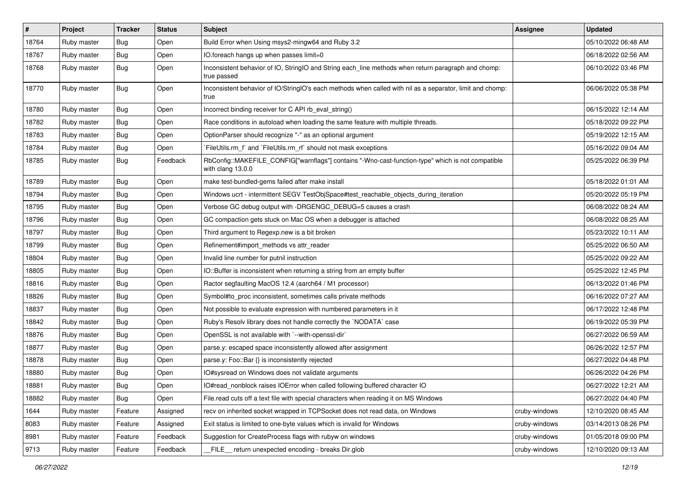| $\sharp$ | Project     | <b>Tracker</b> | <b>Status</b> | <b>Subject</b>                                                                                                         | Assignee      | <b>Updated</b>      |
|----------|-------------|----------------|---------------|------------------------------------------------------------------------------------------------------------------------|---------------|---------------------|
| 18764    | Ruby master | Bug            | Open          | Build Error when Using msys2-mingw64 and Ruby 3.2                                                                      |               | 05/10/2022 06:48 AM |
| 18767    | Ruby master | Bug            | Open          | IO.foreach hangs up when passes limit=0                                                                                |               | 06/18/2022 02:56 AM |
| 18768    | Ruby master | Bug            | Open          | Inconsistent behavior of IO, StringIO and String each_line methods when return paragraph and chomp:<br>true passed     |               | 06/10/2022 03:46 PM |
| 18770    | Ruby master | Bug            | Open          | Inconsistent behavior of IO/StringIO's each methods when called with nil as a separator, limit and chomp:<br>true      |               | 06/06/2022 05:38 PM |
| 18780    | Ruby master | <b>Bug</b>     | Open          | Incorrect binding receiver for C API rb_eval_string()                                                                  |               | 06/15/2022 12:14 AM |
| 18782    | Ruby master | Bug            | Open          | Race conditions in autoload when loading the same feature with multiple threads.                                       |               | 05/18/2022 09:22 PM |
| 18783    | Ruby master | <b>Bug</b>     | Open          | OptionParser should recognize "-" as an optional argument                                                              |               | 05/19/2022 12:15 AM |
| 18784    | Ruby master | Bug            | Open          | FileUtils.rm_f` and `FileUtils.rm_rf` should not mask exceptions                                                       |               | 05/16/2022 09:04 AM |
| 18785    | Ruby master | Bug            | Feedback      | RbConfig::MAKEFILE_CONFIG["warnflags"] contains "-Wno-cast-function-type" which is not compatible<br>with clang 13.0.0 |               | 05/25/2022 06:39 PM |
| 18789    | Ruby master | Bug            | Open          | make test-bundled-gems failed after make install                                                                       |               | 05/18/2022 01:01 AM |
| 18794    | Ruby master | <b>Bug</b>     | Open          | Windows ucrt - intermittent SEGV TestObjSpace#test_reachable_objects_during_iteration                                  |               | 05/20/2022 05:19 PM |
| 18795    | Ruby master | Bug            | Open          | Verbose GC debug output with -DRGENGC_DEBUG=5 causes a crash                                                           |               | 06/08/2022 08:24 AM |
| 18796    | Ruby master | Bug            | Open          | GC compaction gets stuck on Mac OS when a debugger is attached                                                         |               | 06/08/2022 08:25 AM |
| 18797    | Ruby master | <b>Bug</b>     | Open          | Third argument to Regexp.new is a bit broken                                                                           |               | 05/23/2022 10:11 AM |
| 18799    | Ruby master | Bug            | Open          | Refinement#import_methods vs attr_reader                                                                               |               | 05/25/2022 06:50 AM |
| 18804    | Ruby master | <b>Bug</b>     | Open          | Invalid line number for putnil instruction                                                                             |               | 05/25/2022 09:22 AM |
| 18805    | Ruby master | <b>Bug</b>     | Open          | IO::Buffer is inconsistent when returning a string from an empty buffer                                                |               | 05/25/2022 12:45 PM |
| 18816    | Ruby master | Bug            | Open          | Ractor segfaulting MacOS 12.4 (aarch64 / M1 processor)                                                                 |               | 06/13/2022 01:46 PM |
| 18826    | Ruby master | <b>Bug</b>     | Open          | Symbol#to_proc inconsistent, sometimes calls private methods                                                           |               | 06/16/2022 07:27 AM |
| 18837    | Ruby master | Bug            | Open          | Not possible to evaluate expression with numbered parameters in it                                                     |               | 06/17/2022 12:48 PM |
| 18842    | Ruby master | Bug            | Open          | Ruby's Resolv library does not handle correctly the `NODATA` case                                                      |               | 06/19/2022 05:39 PM |
| 18876    | Ruby master | <b>Bug</b>     | Open          | OpenSSL is not available with `--with-openssl-dir`                                                                     |               | 06/27/2022 06:59 AM |
| 18877    | Ruby master | Bug            | Open          | parse.y: escaped space inconsistently allowed after assignment                                                         |               | 06/26/2022 12:57 PM |
| 18878    | Ruby master | <b>Bug</b>     | Open          | parse.y: Foo::Bar {} is inconsistently rejected                                                                        |               | 06/27/2022 04:48 PM |
| 18880    | Ruby master | <b>Bug</b>     | Open          | IO#sysread on Windows does not validate arguments                                                                      |               | 06/26/2022 04:26 PM |
| 18881    | Ruby master | Bug            | Open          | IO#read_nonblock raises IOError when called following buffered character IO                                            |               | 06/27/2022 12:21 AM |
| 18882    | Ruby master | <b>Bug</b>     | Open          | File.read cuts off a text file with special characters when reading it on MS Windows                                   |               | 06/27/2022 04:40 PM |
| 1644     | Ruby master | Feature        | Assigned      | recv on inherited socket wrapped in TCPSocket does not read data, on Windows                                           | cruby-windows | 12/10/2020 08:45 AM |
| 8083     | Ruby master | Feature        | Assigned      | Exit status is limited to one-byte values which is invalid for Windows                                                 | cruby-windows | 03/14/2013 08:26 PM |
| 8981     | Ruby master | Feature        | Feedback      | Suggestion for CreateProcess flags with rubyw on windows                                                               | cruby-windows | 01/05/2018 09:00 PM |
| 9713     | Ruby master | Feature        | Feedback      | FILE return unexpected encoding - breaks Dir.glob                                                                      | cruby-windows | 12/10/2020 09:13 AM |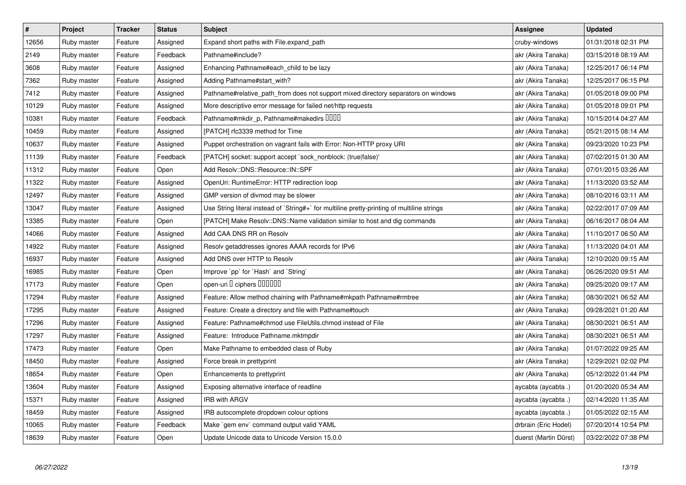| $\vert$ # | Project     | <b>Tracker</b> | <b>Status</b> | <b>Subject</b>                                                                              | <b>Assignee</b>       | <b>Updated</b>      |
|-----------|-------------|----------------|---------------|---------------------------------------------------------------------------------------------|-----------------------|---------------------|
| 12656     | Ruby master | Feature        | Assigned      | Expand short paths with File.expand_path                                                    | cruby-windows         | 01/31/2018 02:31 PM |
| 2149      | Ruby master | Feature        | Feedback      | Pathname#include?                                                                           | akr (Akira Tanaka)    | 03/15/2018 08:19 AM |
| 3608      | Ruby master | Feature        | Assigned      | Enhancing Pathname#each_child to be lazy                                                    | akr (Akira Tanaka)    | 12/25/2017 06:14 PM |
| 7362      | Ruby master | Feature        | Assigned      | Adding Pathname#start_with?                                                                 | akr (Akira Tanaka)    | 12/25/2017 06:15 PM |
| 7412      | Ruby master | Feature        | Assigned      | Pathname#relative_path_from does not support mixed directory separators on windows          | akr (Akira Tanaka)    | 01/05/2018 09:00 PM |
| 10129     | Ruby master | Feature        | Assigned      | More descriptive error message for failed net/http requests                                 | akr (Akira Tanaka)    | 01/05/2018 09:01 PM |
| 10381     | Ruby master | Feature        | Feedback      | Pathname#mkdir_p, Pathname#makedirs DDDD                                                    | akr (Akira Tanaka)    | 10/15/2014 04:27 AM |
| 10459     | Ruby master | Feature        | Assigned      | [PATCH] rfc3339 method for Time                                                             | akr (Akira Tanaka)    | 05/21/2015 08:14 AM |
| 10637     | Ruby master | Feature        | Assigned      | Puppet orchestration on vagrant fails with Error: Non-HTTP proxy URI                        | akr (Akira Tanaka)    | 09/23/2020 10:23 PM |
| 11139     | Ruby master | Feature        | Feedback      | [PATCH] socket: support accept `sock_nonblock: (true false)'                                | akr (Akira Tanaka)    | 07/02/2015 01:30 AM |
| 11312     | Ruby master | Feature        | Open          | Add Resolv::DNS::Resource::IN::SPF                                                          | akr (Akira Tanaka)    | 07/01/2015 03:26 AM |
| 11322     | Ruby master | Feature        | Assigned      | OpenUri: RuntimeError: HTTP redirection loop                                                | akr (Akira Tanaka)    | 11/13/2020 03:52 AM |
| 12497     | Ruby master | Feature        | Assigned      | GMP version of divmod may be slower                                                         | akr (Akira Tanaka)    | 08/10/2016 03:11 AM |
| 13047     | Ruby master | Feature        | Assigned      | Use String literal instead of `String#+` for multiline pretty-printing of multiline strings | akr (Akira Tanaka)    | 02/22/2017 07:09 AM |
| 13385     | Ruby master | Feature        | Open          | [PATCH] Make Resolv::DNS::Name validation similar to host and dig commands                  | akr (Akira Tanaka)    | 06/16/2017 08:04 AM |
| 14066     | Ruby master | Feature        | Assigned      | Add CAA DNS RR on Resolv                                                                    | akr (Akira Tanaka)    | 11/10/2017 06:50 AM |
| 14922     | Ruby master | Feature        | Assigned      | Resolv getaddresses ignores AAAA records for IPv6                                           | akr (Akira Tanaka)    | 11/13/2020 04:01 AM |
| 16937     | Ruby master | Feature        | Assigned      | Add DNS over HTTP to Resolv                                                                 | akr (Akira Tanaka)    | 12/10/2020 09:15 AM |
| 16985     | Ruby master | Feature        | Open          | Improve `pp` for `Hash` and `String`                                                        | akr (Akira Tanaka)    | 06/26/2020 09:51 AM |
| 17173     | Ruby master | Feature        | Open          | open-uri I ciphers IIIIIII                                                                  | akr (Akira Tanaka)    | 09/25/2020 09:17 AM |
| 17294     | Ruby master | Feature        | Assigned      | Feature: Allow method chaining with Pathname#mkpath Pathname#rmtree                         | akr (Akira Tanaka)    | 08/30/2021 06:52 AM |
| 17295     | Ruby master | Feature        | Assigned      | Feature: Create a directory and file with Pathname#touch                                    | akr (Akira Tanaka)    | 09/28/2021 01:20 AM |
| 17296     | Ruby master | Feature        | Assigned      | Feature: Pathname#chmod use FileUtils.chmod instead of File                                 | akr (Akira Tanaka)    | 08/30/2021 06:51 AM |
| 17297     | Ruby master | Feature        | Assigned      | Feature: Introduce Pathname.mktmpdir                                                        | akr (Akira Tanaka)    | 08/30/2021 06:51 AM |
| 17473     | Ruby master | Feature        | Open          | Make Pathname to embedded class of Ruby                                                     | akr (Akira Tanaka)    | 01/07/2022 09:25 AM |
| 18450     | Ruby master | Feature        | Assigned      | Force break in prettyprint                                                                  | akr (Akira Tanaka)    | 12/29/2021 02:02 PM |
| 18654     | Ruby master | Feature        | Open          | Enhancements to prettyprint                                                                 | akr (Akira Tanaka)    | 05/12/2022 01:44 PM |
| 13604     | Ruby master | Feature        | Assigned      | Exposing alternative interface of readline                                                  | aycabta (aycabta .)   | 01/20/2020 05:34 AM |
| 15371     | Ruby master | Feature        | Assigned      | <b>IRB with ARGV</b>                                                                        | aycabta (aycabta .)   | 02/14/2020 11:35 AM |
| 18459     | Ruby master | Feature        | Assigned      | IRB autocomplete dropdown colour options                                                    | aycabta (aycabta .)   | 01/05/2022 02:15 AM |
| 10065     | Ruby master | Feature        | Feedback      | Make `gem env` command output valid YAML                                                    | drbrain (Eric Hodel)  | 07/20/2014 10:54 PM |
| 18639     | Ruby master | Feature        | Open          | Update Unicode data to Unicode Version 15.0.0                                               | duerst (Martin Dürst) | 03/22/2022 07:38 PM |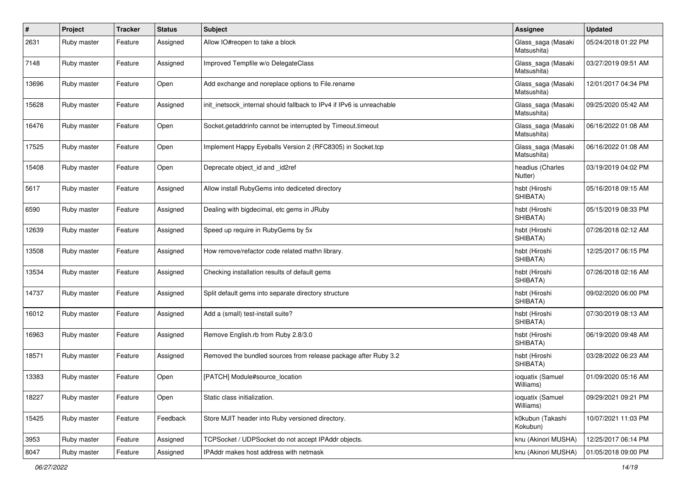| #     | Project     | <b>Tracker</b> | <b>Status</b> | Subject                                                               | Assignee                          | <b>Updated</b>      |
|-------|-------------|----------------|---------------|-----------------------------------------------------------------------|-----------------------------------|---------------------|
| 2631  | Ruby master | Feature        | Assigned      | Allow IO#reopen to take a block                                       | Glass_saga (Masaki<br>Matsushita) | 05/24/2018 01:22 PM |
| 7148  | Ruby master | Feature        | Assigned      | Improved Tempfile w/o DelegateClass                                   | Glass_saga (Masaki<br>Matsushita) | 03/27/2019 09:51 AM |
| 13696 | Ruby master | Feature        | Open          | Add exchange and noreplace options to File.rename                     | Glass_saga (Masaki<br>Matsushita) | 12/01/2017 04:34 PM |
| 15628 | Ruby master | Feature        | Assigned      | init_inetsock_internal should fallback to IPv4 if IPv6 is unreachable | Glass_saga (Masaki<br>Matsushita) | 09/25/2020 05:42 AM |
| 16476 | Ruby master | Feature        | Open          | Socket.getaddrinfo cannot be interrupted by Timeout.timeout           | Glass_saga (Masaki<br>Matsushita) | 06/16/2022 01:08 AM |
| 17525 | Ruby master | Feature        | Open          | Implement Happy Eyeballs Version 2 (RFC8305) in Socket.tcp            | Glass_saga (Masaki<br>Matsushita) | 06/16/2022 01:08 AM |
| 15408 | Ruby master | Feature        | Open          | Deprecate object id and id2ref                                        | headius (Charles<br>Nutter)       | 03/19/2019 04:02 PM |
| 5617  | Ruby master | Feature        | Assigned      | Allow install RubyGems into dediceted directory                       | hsbt (Hiroshi<br>SHIBATA)         | 05/16/2018 09:15 AM |
| 6590  | Ruby master | Feature        | Assigned      | Dealing with bigdecimal, etc gems in JRuby                            | hsbt (Hiroshi<br>SHIBATA)         | 05/15/2019 08:33 PM |
| 12639 | Ruby master | Feature        | Assigned      | Speed up require in RubyGems by 5x                                    | hsbt (Hiroshi<br>SHIBATA)         | 07/26/2018 02:12 AM |
| 13508 | Ruby master | Feature        | Assigned      | How remove/refactor code related mathn library.                       | hsbt (Hiroshi<br>SHIBATA)         | 12/25/2017 06:15 PM |
| 13534 | Ruby master | Feature        | Assigned      | Checking installation results of default gems                         | hsbt (Hiroshi<br>SHIBATA)         | 07/26/2018 02:16 AM |
| 14737 | Ruby master | Feature        | Assigned      | Split default gems into separate directory structure                  | hsbt (Hiroshi<br>SHIBATA)         | 09/02/2020 06:00 PM |
| 16012 | Ruby master | Feature        | Assigned      | Add a (small) test-install suite?                                     | hsbt (Hiroshi<br>SHIBATA)         | 07/30/2019 08:13 AM |
| 16963 | Ruby master | Feature        | Assigned      | Remove English.rb from Ruby 2.8/3.0                                   | hsbt (Hiroshi<br>SHIBATA)         | 06/19/2020 09:48 AM |
| 18571 | Ruby master | Feature        | Assigned      | Removed the bundled sources from release package after Ruby 3.2       | hsbt (Hiroshi<br>SHIBATA)         | 03/28/2022 06:23 AM |
| 13383 | Ruby master | Feature        | Open          | [PATCH] Module#source_location                                        | ioquatix (Samuel<br>Williams)     | 01/09/2020 05:16 AM |
| 18227 | Ruby master | Feature        | Open          | Static class initialization.                                          | ioquatix (Samuel<br>Williams)     | 09/29/2021 09:21 PM |
| 15425 | Ruby master | Feature        | Feedback      | Store MJIT header into Ruby versioned directory.                      | k0kubun (Takashi<br>Kokubun)      | 10/07/2021 11:03 PM |
| 3953  | Ruby master | Feature        | Assigned      | TCPSocket / UDPSocket do not accept IPAddr objects.                   | knu (Akinori MUSHA)               | 12/25/2017 06:14 PM |
| 8047  | Ruby master | Feature        | Assigned      | IPAddr makes host address with netmask                                | knu (Akinori MUSHA)               | 01/05/2018 09:00 PM |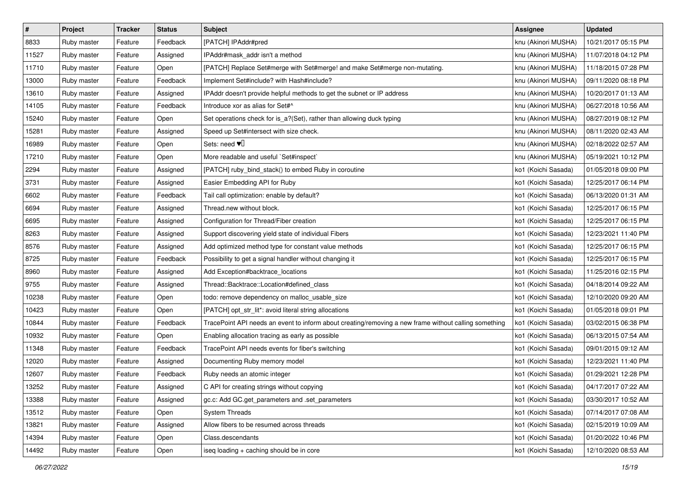| $\vert$ # | Project     | Tracker | <b>Status</b> | Subject                                                                                               | Assignee            | <b>Updated</b>      |
|-----------|-------------|---------|---------------|-------------------------------------------------------------------------------------------------------|---------------------|---------------------|
| 8833      | Ruby master | Feature | Feedback      | [PATCH] IPAddr#pred                                                                                   | knu (Akinori MUSHA) | 10/21/2017 05:15 PM |
| 11527     | Ruby master | Feature | Assigned      | IPAddr#mask_addr isn't a method                                                                       | knu (Akinori MUSHA) | 11/07/2018 04:12 PM |
| 11710     | Ruby master | Feature | Open          | [PATCH] Replace Set#merge with Set#merge! and make Set#merge non-mutating.                            | knu (Akinori MUSHA) | 11/18/2015 07:28 PM |
| 13000     | Ruby master | Feature | Feedback      | Implement Set#include? with Hash#include?                                                             | knu (Akinori MUSHA) | 09/11/2020 08:18 PM |
| 13610     | Ruby master | Feature | Assigned      | IPAddr doesn't provide helpful methods to get the subnet or IP address                                | knu (Akinori MUSHA) | 10/20/2017 01:13 AM |
| 14105     | Ruby master | Feature | Feedback      | Introduce xor as alias for Set#^                                                                      | knu (Akinori MUSHA) | 06/27/2018 10:56 AM |
| 15240     | Ruby master | Feature | Open          | Set operations check for is_a?(Set), rather than allowing duck typing                                 | knu (Akinori MUSHA) | 08/27/2019 08:12 PM |
| 15281     | Ruby master | Feature | Assigned      | Speed up Set#intersect with size check.                                                               | knu (Akinori MUSHA) | 08/11/2020 02:43 AM |
| 16989     | Ruby master | Feature | Open          | Sets: need $\Psi$ <sup>[]</sup>                                                                       | knu (Akinori MUSHA) | 02/18/2022 02:57 AM |
| 17210     | Ruby master | Feature | Open          | More readable and useful `Set#inspect`                                                                | knu (Akinori MUSHA) | 05/19/2021 10:12 PM |
| 2294      | Ruby master | Feature | Assigned      | [PATCH] ruby_bind_stack() to embed Ruby in coroutine                                                  | ko1 (Koichi Sasada) | 01/05/2018 09:00 PM |
| 3731      | Ruby master | Feature | Assigned      | Easier Embedding API for Ruby                                                                         | ko1 (Koichi Sasada) | 12/25/2017 06:14 PM |
| 6602      | Ruby master | Feature | Feedback      | Tail call optimization: enable by default?                                                            | ko1 (Koichi Sasada) | 06/13/2020 01:31 AM |
| 6694      | Ruby master | Feature | Assigned      | Thread.new without block.                                                                             | ko1 (Koichi Sasada) | 12/25/2017 06:15 PM |
| 6695      | Ruby master | Feature | Assigned      | Configuration for Thread/Fiber creation                                                               | ko1 (Koichi Sasada) | 12/25/2017 06:15 PM |
| 8263      | Ruby master | Feature | Assigned      | Support discovering yield state of individual Fibers                                                  | ko1 (Koichi Sasada) | 12/23/2021 11:40 PM |
| 8576      | Ruby master | Feature | Assigned      | Add optimized method type for constant value methods                                                  | ko1 (Koichi Sasada) | 12/25/2017 06:15 PM |
| 8725      | Ruby master | Feature | Feedback      | Possibility to get a signal handler without changing it                                               | ko1 (Koichi Sasada) | 12/25/2017 06:15 PM |
| 8960      | Ruby master | Feature | Assigned      | Add Exception#backtrace_locations                                                                     | ko1 (Koichi Sasada) | 11/25/2016 02:15 PM |
| 9755      | Ruby master | Feature | Assigned      | Thread::Backtrace::Location#defined class                                                             | ko1 (Koichi Sasada) | 04/18/2014 09:22 AM |
| 10238     | Ruby master | Feature | Open          | todo: remove dependency on malloc_usable_size                                                         | ko1 (Koichi Sasada) | 12/10/2020 09:20 AM |
| 10423     | Ruby master | Feature | Open          | [PATCH] opt_str_lit*: avoid literal string allocations                                                | ko1 (Koichi Sasada) | 01/05/2018 09:01 PM |
| 10844     | Ruby master | Feature | Feedback      | TracePoint API needs an event to inform about creating/removing a new frame without calling something | ko1 (Koichi Sasada) | 03/02/2015 06:38 PM |
| 10932     | Ruby master | Feature | Open          | Enabling allocation tracing as early as possible                                                      | ko1 (Koichi Sasada) | 06/13/2015 07:54 AM |
| 11348     | Ruby master | Feature | Feedback      | TracePoint API needs events for fiber's switching                                                     | ko1 (Koichi Sasada) | 09/01/2015 09:12 AM |
| 12020     | Ruby master | Feature | Assigned      | Documenting Ruby memory model                                                                         | ko1 (Koichi Sasada) | 12/23/2021 11:40 PM |
| 12607     | Ruby master | Feature | Feedback      | Ruby needs an atomic integer                                                                          | ko1 (Koichi Sasada) | 01/29/2021 12:28 PM |
| 13252     | Ruby master | Feature | Assigned      | C API for creating strings without copying                                                            | ko1 (Koichi Sasada) | 04/17/2017 07:22 AM |
| 13388     | Ruby master | Feature | Assigned      | gc.c: Add GC.get_parameters and .set_parameters                                                       | ko1 (Koichi Sasada) | 03/30/2017 10:52 AM |
| 13512     | Ruby master | Feature | Open          | <b>System Threads</b>                                                                                 | ko1 (Koichi Sasada) | 07/14/2017 07:08 AM |
| 13821     | Ruby master | Feature | Assigned      | Allow fibers to be resumed across threads                                                             | ko1 (Koichi Sasada) | 02/15/2019 10:09 AM |
| 14394     | Ruby master | Feature | Open          | Class.descendants                                                                                     | ko1 (Koichi Sasada) | 01/20/2022 10:46 PM |
| 14492     | Ruby master | Feature | Open          | iseq loading + caching should be in core                                                              | ko1 (Koichi Sasada) | 12/10/2020 08:53 AM |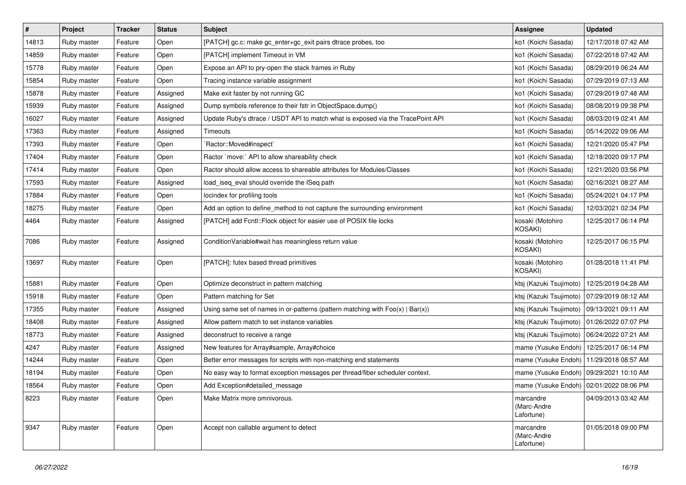| $\pmb{\#}$ | Project     | <b>Tracker</b> | <b>Status</b> | <b>Subject</b>                                                                    | <b>Assignee</b>                               | <b>Updated</b>      |
|------------|-------------|----------------|---------------|-----------------------------------------------------------------------------------|-----------------------------------------------|---------------------|
| 14813      | Ruby master | Feature        | Open          | [PATCH] gc.c: make gc_enter+gc_exit pairs dtrace probes, too                      | ko1 (Koichi Sasada)                           | 12/17/2018 07:42 AM |
| 14859      | Ruby master | Feature        | Open          | [PATCH] implement Timeout in VM                                                   | ko1 (Koichi Sasada)                           | 07/22/2018 07:42 AM |
| 15778      | Ruby master | Feature        | Open          | Expose an API to pry-open the stack frames in Ruby                                | ko1 (Koichi Sasada)                           | 08/29/2019 06:24 AM |
| 15854      | Ruby master | Feature        | Open          | Tracing instance variable assignment                                              | ko1 (Koichi Sasada)                           | 07/29/2019 07:13 AM |
| 15878      | Ruby master | Feature        | Assigned      | Make exit faster by not running GC                                                | ko1 (Koichi Sasada)                           | 07/29/2019 07:48 AM |
| 15939      | Ruby master | Feature        | Assigned      | Dump symbols reference to their fstr in ObjectSpace.dump()                        | ko1 (Koichi Sasada)                           | 08/08/2019 09:38 PM |
| 16027      | Ruby master | Feature        | Assigned      | Update Ruby's dtrace / USDT API to match what is exposed via the TracePoint API   | ko1 (Koichi Sasada)                           | 08/03/2019 02:41 AM |
| 17363      | Ruby master | Feature        | Assigned      | Timeouts                                                                          | ko1 (Koichi Sasada)                           | 05/14/2022 09:06 AM |
| 17393      | Ruby master | Feature        | Open          | Ractor::Moved#inspect`                                                            | ko1 (Koichi Sasada)                           | 12/21/2020 05:47 PM |
| 17404      | Ruby master | Feature        | Open          | Ractor `move:` API to allow shareability check                                    | ko1 (Koichi Sasada)                           | 12/18/2020 09:17 PM |
| 17414      | Ruby master | Feature        | Open          | Ractor should allow access to shareable attributes for Modules/Classes            | ko1 (Koichi Sasada)                           | 12/21/2020 03:56 PM |
| 17593      | Ruby master | Feature        | Assigned      | load iseg eval should override the ISeg path                                      | ko1 (Koichi Sasada)                           | 02/16/2021 08:27 AM |
| 17884      | Ruby master | Feature        | Open          | locindex for profiling tools                                                      | ko1 (Koichi Sasada)                           | 05/24/2021 04:17 PM |
| 18275      | Ruby master | Feature        | Open          | Add an option to define_method to not capture the surrounding environment         | ko1 (Koichi Sasada)                           | 12/03/2021 02:34 PM |
| 4464       | Ruby master | Feature        | Assigned      | [PATCH] add Fcntl::Flock object for easier use of POSIX file locks                | kosaki (Motohiro<br>KOSAKI)                   | 12/25/2017 06:14 PM |
| 7086       | Ruby master | Feature        | Assigned      | ConditionVariable#wait has meaningless return value                               | kosaki (Motohiro<br><b>KOSAKI)</b>            | 12/25/2017 06:15 PM |
| 13697      | Ruby master | Feature        | Open          | [PATCH]: futex based thread primitives                                            | kosaki (Motohiro<br>KOSAKI)                   | 01/28/2018 11:41 PM |
| 15881      | Ruby master | Feature        | Open          | Optimize deconstruct in pattern matching                                          | ktsj (Kazuki Tsujimoto)   12/25/2019 04:28 AM |                     |
| 15918      | Ruby master | Feature        | Open          | Pattern matching for Set                                                          | ktsj (Kazuki Tsujimoto)                       | 07/29/2019 08:12 AM |
| 17355      | Ruby master | Feature        | Assigned      | Using same set of names in or-patterns (pattern matching with $Foo(x)   Bar(x)$ ) | ktsj (Kazuki Tsujimoto)                       | 09/13/2021 09:11 AM |
| 18408      | Ruby master | Feature        | Assigned      | Allow pattern match to set instance variables                                     | ktsj (Kazuki Tsujimoto)                       | 01/26/2022 07:07 PM |
| 18773      | Ruby master | Feature        | Assigned      | deconstruct to receive a range                                                    | ktsj (Kazuki Tsujimoto)   06/24/2022 07:21 AM |                     |
| 4247       | Ruby master | Feature        | Assigned      | New features for Array#sample, Array#choice                                       | mame (Yusuke Endoh)                           | 12/25/2017 06:14 PM |
| 14244      | Ruby master | Feature        | Open          | Better error messages for scripts with non-matching end statements                | mame (Yusuke Endoh)                           | 11/29/2018 08:57 AM |
| 18194      | Ruby master | Feature        | Open          | No easy way to format exception messages per thread/fiber scheduler context.      | mame (Yusuke Endoh)                           | 09/29/2021 10:10 AM |
| 18564      | Ruby master | Feature        | Open          | Add Exception#detailed_message                                                    | mame (Yusuke Endoh)                           | 02/01/2022 08:06 PM |
| 8223       | Ruby master | Feature        | Open          | Make Matrix more omnivorous.                                                      | marcandre<br>(Marc-Andre<br>Lafortune)        | 04/09/2013 03:42 AM |
| 9347       | Ruby master | Feature        | Open          | Accept non callable argument to detect                                            | marcandre<br>(Marc-Andre<br>Lafortune)        | 01/05/2018 09:00 PM |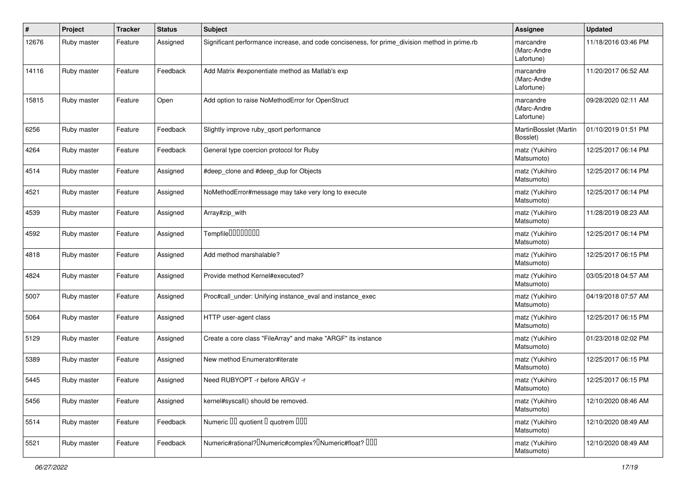| #     | Project     | <b>Tracker</b> | <b>Status</b> | Subject                                                                                       | <b>Assignee</b>                        | <b>Updated</b>      |
|-------|-------------|----------------|---------------|-----------------------------------------------------------------------------------------------|----------------------------------------|---------------------|
| 12676 | Ruby master | Feature        | Assigned      | Significant performance increase, and code conciseness, for prime_division method in prime.rb | marcandre<br>(Marc-Andre<br>Lafortune) | 11/18/2016 03:46 PM |
| 14116 | Ruby master | Feature        | Feedback      | Add Matrix #exponentiate method as Matlab's exp                                               | marcandre<br>(Marc-Andre<br>Lafortune) | 11/20/2017 06:52 AM |
| 15815 | Ruby master | Feature        | Open          | Add option to raise NoMethodError for OpenStruct                                              | marcandre<br>(Marc-Andre<br>Lafortune) | 09/28/2020 02:11 AM |
| 6256  | Ruby master | Feature        | Feedback      | Slightly improve ruby gsort performance                                                       | MartinBosslet (Martin<br>Bosslet)      | 01/10/2019 01:51 PM |
| 4264  | Ruby master | Feature        | Feedback      | General type coercion protocol for Ruby                                                       | matz (Yukihiro<br>Matsumoto)           | 12/25/2017 06:14 PM |
| 4514  | Ruby master | Feature        | Assigned      | #deep_clone and #deep_dup for Objects                                                         | matz (Yukihiro<br>Matsumoto)           | 12/25/2017 06:14 PM |
| 4521  | Ruby master | Feature        | Assigned      | NoMethodError#message may take very long to execute                                           | matz (Yukihiro<br>Matsumoto)           | 12/25/2017 06:14 PM |
| 4539  | Ruby master | Feature        | Assigned      | Array#zip_with                                                                                | matz (Yukihiro<br>Matsumoto)           | 11/28/2019 08:23 AM |
| 4592  | Ruby master | Feature        | Assigned      | Tempfile <sup>[1010101011]</sup>                                                              | matz (Yukihiro<br>Matsumoto)           | 12/25/2017 06:14 PM |
| 4818  | Ruby master | Feature        | Assigned      | Add method marshalable?                                                                       | matz (Yukihiro<br>Matsumoto)           | 12/25/2017 06:15 PM |
| 4824  | Ruby master | Feature        | Assigned      | Provide method Kernel#executed?                                                               | matz (Yukihiro<br>Matsumoto)           | 03/05/2018 04:57 AM |
| 5007  | Ruby master | Feature        | Assigned      | Proc#call_under: Unifying instance_eval and instance_exec                                     | matz (Yukihiro<br>Matsumoto)           | 04/19/2018 07:57 AM |
| 5064  | Ruby master | Feature        | Assigned      | HTTP user-agent class                                                                         | matz (Yukihiro<br>Matsumoto)           | 12/25/2017 06:15 PM |
| 5129  | Ruby master | Feature        | Assigned      | Create a core class "FileArray" and make "ARGF" its instance                                  | matz (Yukihiro<br>Matsumoto)           | 01/23/2018 02:02 PM |
| 5389  | Ruby master | Feature        | Assigned      | New method Enumerator#iterate                                                                 | matz (Yukihiro<br>Matsumoto)           | 12/25/2017 06:15 PM |
| 5445  | Ruby master | Feature        | Assigned      | Need RUBYOPT - r before ARGV - r                                                              | matz (Yukihiro<br>Matsumoto)           | 12/25/2017 06:15 PM |
| 5456  | Ruby master | Feature        | Assigned      | kernel#syscall() should be removed.                                                           | matz (Yukihiro<br>Matsumoto)           | 12/10/2020 08:46 AM |
| 5514  | Ruby master | Feature        | Feedback      | Numeric III quotient II quotrem IIII                                                          | matz (Yukihiro<br>Matsumoto)           | 12/10/2020 08:49 AM |
| 5521  | Ruby master | Feature        | Feedback      | Numeric#rational? <sup>[]</sup> Numeric#complex? <sup>[]</sup> Numeric#float? <sup>[10]</sup> | matz (Yukihiro<br>Matsumoto)           | 12/10/2020 08:49 AM |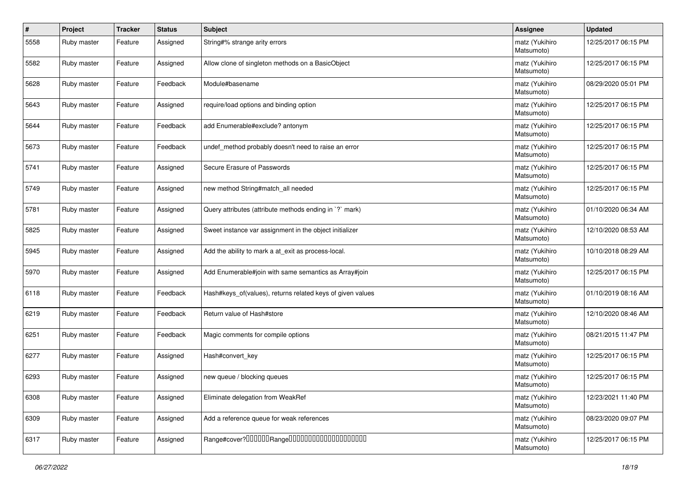| #    | Project     | <b>Tracker</b> | <b>Status</b> | Subject                                                     | <b>Assignee</b>              | <b>Updated</b>      |
|------|-------------|----------------|---------------|-------------------------------------------------------------|------------------------------|---------------------|
| 5558 | Ruby master | Feature        | Assigned      | String#% strange arity errors                               | matz (Yukihiro<br>Matsumoto) | 12/25/2017 06:15 PM |
| 5582 | Ruby master | Feature        | Assigned      | Allow clone of singleton methods on a BasicObject           | matz (Yukihiro<br>Matsumoto) | 12/25/2017 06:15 PM |
| 5628 | Ruby master | Feature        | Feedback      | Module#basename                                             | matz (Yukihiro<br>Matsumoto) | 08/29/2020 05:01 PM |
| 5643 | Ruby master | Feature        | Assigned      | require/load options and binding option                     | matz (Yukihiro<br>Matsumoto) | 12/25/2017 06:15 PM |
| 5644 | Ruby master | Feature        | Feedback      | add Enumerable#exclude? antonym                             | matz (Yukihiro<br>Matsumoto) | 12/25/2017 06:15 PM |
| 5673 | Ruby master | Feature        | Feedback      | undef_method probably doesn't need to raise an error        | matz (Yukihiro<br>Matsumoto) | 12/25/2017 06:15 PM |
| 5741 | Ruby master | Feature        | Assigned      | Secure Erasure of Passwords                                 | matz (Yukihiro<br>Matsumoto) | 12/25/2017 06:15 PM |
| 5749 | Ruby master | Feature        | Assigned      | new method String#match_all needed                          | matz (Yukihiro<br>Matsumoto) | 12/25/2017 06:15 PM |
| 5781 | Ruby master | Feature        | Assigned      | Query attributes (attribute methods ending in `?` mark)     | matz (Yukihiro<br>Matsumoto) | 01/10/2020 06:34 AM |
| 5825 | Ruby master | Feature        | Assigned      | Sweet instance var assignment in the object initializer     | matz (Yukihiro<br>Matsumoto) | 12/10/2020 08:53 AM |
| 5945 | Ruby master | Feature        | Assigned      | Add the ability to mark a at_exit as process-local.         | matz (Yukihiro<br>Matsumoto) | 10/10/2018 08:29 AM |
| 5970 | Ruby master | Feature        | Assigned      | Add Enumerable#join with same semantics as Array#join       | matz (Yukihiro<br>Matsumoto) | 12/25/2017 06:15 PM |
| 6118 | Ruby master | Feature        | Feedback      | Hash#keys of (values), returns related keys of given values | matz (Yukihiro<br>Matsumoto) | 01/10/2019 08:16 AM |
| 6219 | Ruby master | Feature        | Feedback      | Return value of Hash#store                                  | matz (Yukihiro<br>Matsumoto) | 12/10/2020 08:46 AM |
| 6251 | Ruby master | Feature        | Feedback      | Magic comments for compile options                          | matz (Yukihiro<br>Matsumoto) | 08/21/2015 11:47 PM |
| 6277 | Ruby master | Feature        | Assigned      | Hash#convert_key                                            | matz (Yukihiro<br>Matsumoto) | 12/25/2017 06:15 PM |
| 6293 | Ruby master | Feature        | Assigned      | new queue / blocking queues                                 | matz (Yukihiro<br>Matsumoto) | 12/25/2017 06:15 PM |
| 6308 | Ruby master | Feature        | Assigned      | Eliminate delegation from WeakRef                           | matz (Yukihiro<br>Matsumoto) | 12/23/2021 11:40 PM |
| 6309 | Ruby master | Feature        | Assigned      | Add a reference queue for weak references                   | matz (Yukihiro<br>Matsumoto) | 08/23/2020 09:07 PM |
| 6317 | Ruby master | Feature        | Assigned      |                                                             | matz (Yukihiro<br>Matsumoto) | 12/25/2017 06:15 PM |